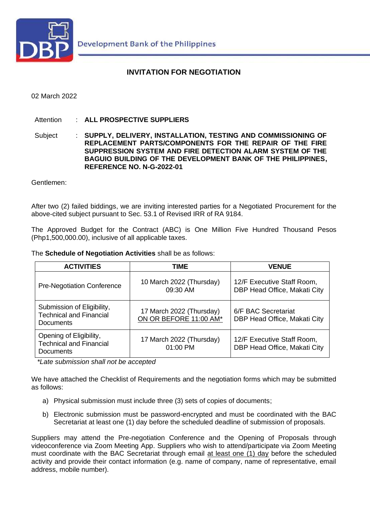

### **INVITATION FOR NEGOTIATION**

#### 02 March 2022

Attention : **ALL PROSPECTIVE SUPPLIERS**

Subject : **SUPPLY, DELIVERY, INSTALLATION, TESTING AND COMMISSIONING OF REPLACEMENT PARTS/COMPONENTS FOR THE REPAIR OF THE FIRE SUPPRESSION SYSTEM AND FIRE DETECTION ALARM SYSTEM OF THE BAGUIO BUILDING OF THE DEVELOPMENT BANK OF THE PHILIPPINES, REFERENCE NO. N-G-2022-01**

Gentlemen:

After two (2) failed biddings, we are inviting interested parties for a Negotiated Procurement for the above-cited subject pursuant to Sec. 53.1 of Revised IRR of RA 9184.

The Approved Budget for the Contract (ABC) is One Million Five Hundred Thousand Pesos (Php1,500,000.00), inclusive of all applicable taxes.

The **Schedule of Negotiation Activities** shall be as follows:

| <b>ACTIVITIES</b>                                                                | TIME                                               | <b>VENUE</b>                                               |
|----------------------------------------------------------------------------------|----------------------------------------------------|------------------------------------------------------------|
| <b>Pre-Negotiation Conference</b>                                                | 10 March 2022 (Thursday)<br>09:30 AM               | 12/F Executive Staff Room,<br>DBP Head Office, Makati City |
| Submission of Eligibility,<br><b>Technical and Financial</b><br><b>Documents</b> | 17 March 2022 (Thursday)<br>ON OR BEFORE 11:00 AM* | 6/F BAC Secretariat<br>DBP Head Office, Makati City        |
| Opening of Eligibility,<br><b>Technical and Financial</b><br>Documents           | 17 March 2022 (Thursday)<br>01:00 PM               | 12/F Executive Staff Room,<br>DBP Head Office, Makati City |

*\*Late submission shall not be accepted*

We have attached the Checklist of Requirements and the negotiation forms which may be submitted as follows:

- a) Physical submission must include three (3) sets of copies of documents;
- b) Electronic submission must be password-encrypted and must be coordinated with the BAC Secretariat at least one (1) day before the scheduled deadline of submission of proposals.

Suppliers may attend the Pre-negotiation Conference and the Opening of Proposals through videoconference via Zoom Meeting App. Suppliers who wish to attend/participate via Zoom Meeting must coordinate with the BAC Secretariat through email at least one (1) day before the scheduled activity and provide their contact information (e.g. name of company, name of representative, email address, mobile number).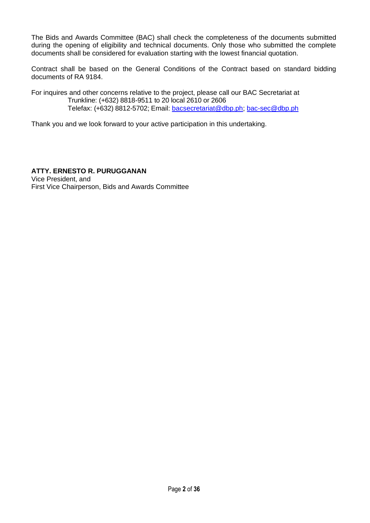The Bids and Awards Committee (BAC) shall check the completeness of the documents submitted during the opening of eligibility and technical documents. Only those who submitted the complete documents shall be considered for evaluation starting with the lowest financial quotation.

Contract shall be based on the General Conditions of the Contract based on standard bidding documents of RA 9184.

For inquires and other concerns relative to the project, please call our BAC Secretariat at Trunkline: (+632) 8818-9511 to 20 local 2610 or 2606 Telefax: (+632) 8812-5702; Email: [bacsecretariat@dbp.ph;](mailto:bacsecretariat@dbp.ph) [bac-sec@dbp.ph](mailto:bac-sec@dbp.ph)

Thank you and we look forward to your active participation in this undertaking.

**ATTY. ERNESTO R. PURUGGANAN** Vice President, and First Vice Chairperson, Bids and Awards Committee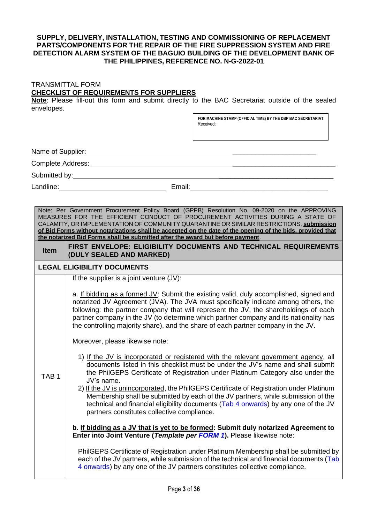#### **SUPPLY, DELIVERY, INSTALLATION, TESTING AND COMMISSIONING OF REPLACEMENT PARTS/COMPONENTS FOR THE REPAIR OF THE FIRE SUPPRESSION SYSTEM AND FIRE DETECTION ALARM SYSTEM OF THE BAGUIO BUILDING OF THE DEVELOPMENT BANK OF THE PHILIPPINES, REFERENCE NO. N-G-2022-01**

#### TRANSMITTAL FORM **CHECKLIST OF REQUIREMENTS FOR SUPPLIERS**

**Note**: Please fill-out this form and submit directly to the BAC Secretariat outside of the sealed envelopes.

> **FOR MACHINE STAMP (OFFICIAL TIME) BY THE DBP BAC SECRETARIAT** Received:

Name of Supplier: \_\_\_\_\_\_\_\_\_\_\_\_\_\_\_\_\_\_\_\_\_\_

Complete Address: **Example 2018** 

Submitted by: \_\_\_\_\_\_\_\_\_\_\_\_\_\_\_\_\_\_\_\_\_\_\_\_\_\_\_\_\_\_

TAB 1

Landline: Email: Email: Email: Email: Email: Email: Email: Email: Email: Email: Email: Email: Email: Email: Email: Email: Email: Email: Email: Email: Email: Email: Email: Email: Email: Email: Email: Email: Email: Email: Em

Note: Per Government Procurement Policy Board (GPPB) Resolution No. 09-2020 on the APPROVING MEASURES FOR THE EFFICIENT CONDUCT OF PROCUREMENT ACTIVITIES DURING A STATE OF CALAMITY, OR IMPLEMENTATION OF COMMUNITY QUARANTINE OR SIMILAR RESTRICTIONS, **submission of Bid Forms without notarizations shall be accepted on the date of the opening of the bids, provided that the notarized Bid Forms shall be submitted after the award but before payment**.

**Item | FIRST ENVELOPE: ELIGIBILITY DOCUMENTS AND TECHNICAL REQUIREMENTS (DULY SEALED AND MARKED)**

#### **LEGAL ELIGIBILITY DOCUMENTS**

If the supplier is a joint venture (JV):

a. If bidding as a formed JV: Submit the existing valid, duly accomplished, signed and notarized JV Agreement (JVA). The JVA must specifically indicate among others, the following: the partner company that will represent the JV, the shareholdings of each partner company in the JV (to determine which partner company and its nationality has the controlling majority share), and the share of each partner company in the JV.

Moreover, please likewise note:

- 1) If the JV is incorporated or registered with the relevant government agency, all documents listed in this checklist must be under the JV's name and shall submit the PhilGEPS Certificate of Registration under Platinum Category also under the JV's name.
- 2) If the JV is unincorporated, the PhilGEPS Certificate of Registration under Platinum Membership shall be submitted by each of the JV partners, while submission of the technical and financial eligibility documents (Tab 4 onwards) by any one of the JV partners constitutes collective compliance.

**b. If bidding as a JV that is yet to be formed: Submit duly notarized Agreement to Enter into Joint Venture (***Template per FORM 1***).** Please likewise note:

PhilGEPS Certificate of Registration under Platinum Membership shall be submitted by each of the JV partners, while submission of the technical and financial documents (Tab 4 onwards) by any one of the JV partners constitutes collective compliance.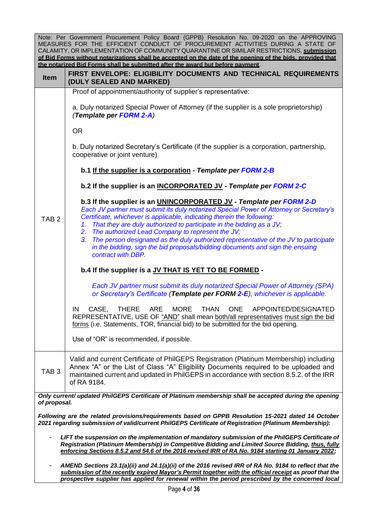|                                                                                                                                                                                                                                                                                                             | Note: Per Government Procurement Policy Board (GPPB) Resolution No. 09-2020 on the APPROVING<br>MEASURES FOR THE EFFICIENT CONDUCT OF PROCUREMENT ACTIVITIES DURING A STATE OF<br>CALAMITY, OR IMPLEMENTATION OF COMMUNITY QUARANTINE OR SIMILAR RESTRICTIONS, submission<br>of Bid Forms without notarizations shall be accepted on the date of the opening of the bids, provided that<br>the notarized Bid Forms shall be submitted after the award but before payment.                                                                                                              |  |
|-------------------------------------------------------------------------------------------------------------------------------------------------------------------------------------------------------------------------------------------------------------------------------------------------------------|----------------------------------------------------------------------------------------------------------------------------------------------------------------------------------------------------------------------------------------------------------------------------------------------------------------------------------------------------------------------------------------------------------------------------------------------------------------------------------------------------------------------------------------------------------------------------------------|--|
| Item                                                                                                                                                                                                                                                                                                        | FIRST ENVELOPE: ELIGIBILITY DOCUMENTS AND TECHNICAL REQUIREMENTS<br>(DULY SEALED AND MARKED)                                                                                                                                                                                                                                                                                                                                                                                                                                                                                           |  |
|                                                                                                                                                                                                                                                                                                             | Proof of appointment/authority of supplier's representative:                                                                                                                                                                                                                                                                                                                                                                                                                                                                                                                           |  |
|                                                                                                                                                                                                                                                                                                             | a. Duly notarized Special Power of Attorney (if the supplier is a sole proprietorship)<br>(Template per FORM 2-A)                                                                                                                                                                                                                                                                                                                                                                                                                                                                      |  |
|                                                                                                                                                                                                                                                                                                             | <b>OR</b>                                                                                                                                                                                                                                                                                                                                                                                                                                                                                                                                                                              |  |
|                                                                                                                                                                                                                                                                                                             | b. Duly notarized Secretary's Certificate (if the supplier is a corporation, partnership,<br>cooperative or joint venture)                                                                                                                                                                                                                                                                                                                                                                                                                                                             |  |
|                                                                                                                                                                                                                                                                                                             | b.1 If the supplier is a corporation - Template per FORM 2-B                                                                                                                                                                                                                                                                                                                                                                                                                                                                                                                           |  |
|                                                                                                                                                                                                                                                                                                             | b.2 If the supplier is an INCORPORATED JV - Template per FORM 2-C                                                                                                                                                                                                                                                                                                                                                                                                                                                                                                                      |  |
| TAB <sub>2</sub>                                                                                                                                                                                                                                                                                            | b.3 If the supplier is an UNINCORPORATED JV - Template per FORM 2-D<br>Each JV partner must submit its duly notarized Special Power of Attorney or Secretary's<br>Certificate, whichever is applicable, indicating therein the following:<br>That they are duly authorized to participate in the bidding as a JV;<br>1.<br>The authorized Lead Company to represent the JV;<br>2.<br>The person designated as the duly authorized representative of the JV to participate<br>3.<br>in the bidding, sign the bid proposals/bidding documents and sign the ensuing<br>contract with DBP. |  |
|                                                                                                                                                                                                                                                                                                             | b.4 If the supplier is a JV THAT IS YET TO BE FORMED -                                                                                                                                                                                                                                                                                                                                                                                                                                                                                                                                 |  |
|                                                                                                                                                                                                                                                                                                             | Each JV partner must submit its duly notarized Special Power of Attorney (SPA)<br>or Secretary's Certificate (Template per FORM 2-E), whichever is applicable.                                                                                                                                                                                                                                                                                                                                                                                                                         |  |
|                                                                                                                                                                                                                                                                                                             | IN<br>CASE,<br><b>THERE</b><br><b>ARE</b><br><b>MORE</b><br><b>THAN</b><br><b>ONE</b><br>APPOINTED/DESIGNATED<br>REPRESENTATIVE, USE OF "AND" shall mean both/all representatives must sign the bid<br>forms (i.e. Statements, TOR, financial bid) to be submitted for the bid opening.                                                                                                                                                                                                                                                                                                |  |
|                                                                                                                                                                                                                                                                                                             | Use of "OR" is recommended, if possible.                                                                                                                                                                                                                                                                                                                                                                                                                                                                                                                                               |  |
| TAB <sub>3</sub>                                                                                                                                                                                                                                                                                            | Valid and current Certificate of PhilGEPS Registration (Platinum Membership) including<br>Annex "A" or the List of Class "A" Eligibility Documents required to be uploaded and<br>maintained current and updated in PhilGEPS in accordance with section 8.5.2. of the IRR<br>of RA 9184.                                                                                                                                                                                                                                                                                               |  |
| of proposal.                                                                                                                                                                                                                                                                                                | Only current/ updated PhilGEPS Certificate of Platinum membership shall be accepted during the opening                                                                                                                                                                                                                                                                                                                                                                                                                                                                                 |  |
|                                                                                                                                                                                                                                                                                                             | Following are the related provisions/requirements based on GPPB Resolution 15-2021 dated 14 October<br>2021 regarding submission of valid/current PhilGEPS Certificate of Registration (Platinum Membership):                                                                                                                                                                                                                                                                                                                                                                          |  |
| LIFT the suspension on the implementation of mandatory submission of the PhilGEPS Certificate of<br>Registration (Platinum Membership) in Competitive Bidding and Limited Source Bidding, thus, fully<br>enforcing Sections 8.5.2 and 54.6 of the 2016 revised IRR of RA No. 9184 starting 01 January 2022; |                                                                                                                                                                                                                                                                                                                                                                                                                                                                                                                                                                                        |  |
|                                                                                                                                                                                                                                                                                                             | AMEND Sections 23.1(a)(ii) and 24.1(a)(ii) of the 2016 revised IRR of RA No. 9184 to reflect that the<br>submission of the recently expired Mayor's Permit together with the official receipt as proof that the<br>prospective supplier has applied for renewal within the period prescribed by the concerned local                                                                                                                                                                                                                                                                    |  |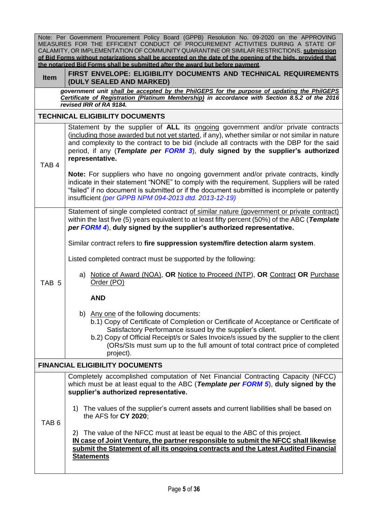|                  | Note: Per Government Procurement Policy Board (GPPB) Resolution No. 09-2020 on the APPROVING<br>MEASURES FOR THE EFFICIENT CONDUCT OF PROCUREMENT ACTIVITIES DURING A STATE OF<br>CALAMITY, OR IMPLEMENTATION OF COMMUNITY QUARANTINE OR SIMILAR RESTRICTIONS, submission<br>of Bid Forms without notarizations shall be accepted on the date of the opening of the bids, provided that<br>the notarized Bid Forms shall be submitted after the award but before payment. |
|------------------|---------------------------------------------------------------------------------------------------------------------------------------------------------------------------------------------------------------------------------------------------------------------------------------------------------------------------------------------------------------------------------------------------------------------------------------------------------------------------|
| <b>Item</b>      | FIRST ENVELOPE: ELIGIBILITY DOCUMENTS AND TECHNICAL REQUIREMENTS<br>(DULY SEALED AND MARKED)                                                                                                                                                                                                                                                                                                                                                                              |
|                  | government unit shall be accepted by the PhilGEPS for the purpose of updating the PhilGEPS<br>Certificate of Registration (Platinum Membership) in accordance with Section 8.5.2 of the 2016<br>revised IRR of RA 9184.                                                                                                                                                                                                                                                   |
|                  | <b>TECHNICAL ELIGIBILITY DOCUMENTS</b>                                                                                                                                                                                                                                                                                                                                                                                                                                    |
| TAB <sub>4</sub> | Statement by the supplier of ALL its ongoing government and/or private contracts<br>(including those awarded but not yet started, if any), whether similar or not similar in nature<br>and complexity to the contract to be bid (include all contracts with the DBP for the said<br>period, if any (Template per FORM 3), duly signed by the supplier's authorized<br>representative.                                                                                     |
|                  | Note: For suppliers who have no ongoing government and/or private contracts, kindly<br>indicate in their statement "NONE" to comply with the requirement. Suppliers will be rated<br>"failed" if no document is submitted or if the document submitted is incomplete or patently<br>insufficient (per GPPB NPM 094-2013 dtd. 2013-12-19)                                                                                                                                  |
|                  | Statement of single completed contract of similar nature (government or private contract)<br>within the last five (5) years equivalent to at least fifty percent (50%) of the ABC (Template<br>per FORM 4), duly signed by the supplier's authorized representative.                                                                                                                                                                                                      |
|                  | Similar contract refers to fire suppression system/fire detection alarm system.                                                                                                                                                                                                                                                                                                                                                                                           |
|                  | Listed completed contract must be supported by the following:                                                                                                                                                                                                                                                                                                                                                                                                             |
| TAB <sub>5</sub> | a) Notice of Award (NOA), OR Notice to Proceed (NTP), OR Contract OR Purchase<br>Order (PO)                                                                                                                                                                                                                                                                                                                                                                               |
|                  | <b>AND</b>                                                                                                                                                                                                                                                                                                                                                                                                                                                                |
|                  | b) Any one of the following documents:<br>b.1) Copy of Certificate of Completion or Certificate of Acceptance or Certificate of<br>Satisfactory Performance issued by the supplier's client.<br>b.2) Copy of Official Receipt/s or Sales Invoice/s issued by the supplier to the client<br>(ORs/SIs must sum up to the full amount of total contract price of completed<br>project).                                                                                      |
|                  | <b>FINANCIAL ELIGIBILITY DOCUMENTS</b>                                                                                                                                                                                                                                                                                                                                                                                                                                    |
|                  | Completely accomplished computation of Net Financial Contracting Capacity (NFCC)<br>which must be at least equal to the ABC (Template per FORM 5), duly signed by the<br>supplier's authorized representative.                                                                                                                                                                                                                                                            |
| TAB <sub>6</sub> | 1) The values of the supplier's current assets and current liabilities shall be based on<br>the AFS for CY 2020;                                                                                                                                                                                                                                                                                                                                                          |
|                  | 2) The value of the NFCC must at least be equal to the ABC of this project.<br>IN case of Joint Venture, the partner responsible to submit the NFCC shall likewise<br>submit the Statement of all its ongoing contracts and the Latest Audited Financial<br><b>Statements</b>                                                                                                                                                                                             |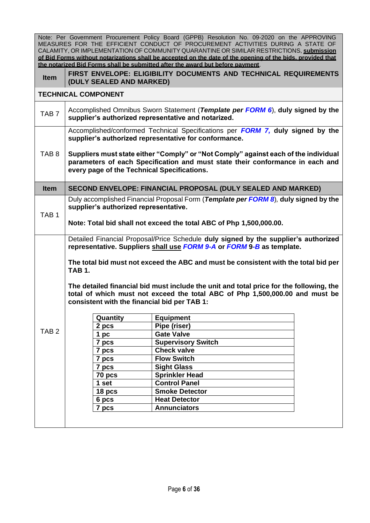|                  |                                                                                                                                                                                                                     | Note: Per Government Procurement Policy Board (GPPB) Resolution No. 09-2020 on the APPROVING<br>MEASURES FOR THE EFFICIENT CONDUCT OF PROCUREMENT ACTIVITIES DURING A STATE OF<br>CALAMITY, OR IMPLEMENTATION OF COMMUNITY QUARANTINE OR SIMILAR RESTRICTIONS, submission<br>of Bid Forms without notarizations shall be accepted on the date of the opening of the bids, provided that<br>the notarized Bid Forms shall be submitted after the award but before payment.                                                                                                                                                                                                                |  |  |  |
|------------------|---------------------------------------------------------------------------------------------------------------------------------------------------------------------------------------------------------------------|------------------------------------------------------------------------------------------------------------------------------------------------------------------------------------------------------------------------------------------------------------------------------------------------------------------------------------------------------------------------------------------------------------------------------------------------------------------------------------------------------------------------------------------------------------------------------------------------------------------------------------------------------------------------------------------|--|--|--|
| <b>Item</b>      | (DULY SEALED AND MARKED)                                                                                                                                                                                            | FIRST ENVELOPE: ELIGIBILITY DOCUMENTS AND TECHNICAL REQUIREMENTS                                                                                                                                                                                                                                                                                                                                                                                                                                                                                                                                                                                                                         |  |  |  |
|                  | <b>TECHNICAL COMPONENT</b>                                                                                                                                                                                          |                                                                                                                                                                                                                                                                                                                                                                                                                                                                                                                                                                                                                                                                                          |  |  |  |
| TAB <sub>7</sub> | Accomplished Omnibus Sworn Statement (Template per FORM 6), duly signed by the<br>supplier's authorized representative and notarized.                                                                               |                                                                                                                                                                                                                                                                                                                                                                                                                                                                                                                                                                                                                                                                                          |  |  |  |
|                  | Accomplished/conformed Technical Specifications per <b>FORM 7, duly signed by the</b><br>supplier's authorized representative for conformance.                                                                      |                                                                                                                                                                                                                                                                                                                                                                                                                                                                                                                                                                                                                                                                                          |  |  |  |
| TAB <sub>8</sub> | Suppliers must state either "Comply" or "Not Comply" against each of the individual<br>parameters of each Specification and must state their conformance in each and<br>every page of the Technical Specifications. |                                                                                                                                                                                                                                                                                                                                                                                                                                                                                                                                                                                                                                                                                          |  |  |  |
| <b>Item</b>      |                                                                                                                                                                                                                     | <b>SECOND ENVELOPE: FINANCIAL PROPOSAL (DULY SEALED AND MARKED)</b>                                                                                                                                                                                                                                                                                                                                                                                                                                                                                                                                                                                                                      |  |  |  |
| TAB <sub>1</sub> | Duly accomplished Financial Proposal Form (Template per FORM 8), duly signed by the<br>supplier's authorized representative.<br>Note: Total bid shall not exceed the total ABC of Php 1,500,000.00.                 |                                                                                                                                                                                                                                                                                                                                                                                                                                                                                                                                                                                                                                                                                          |  |  |  |
| TAB <sub>2</sub> | <b>TAB 1.</b><br>consistent with the financial bid per TAB 1:<br>Quantity<br>2 pcs<br>1pc<br>7 pcs<br>7 pcs<br>7 pcs<br>7 pcs<br>70 pcs<br>1 set<br>18 pcs<br>6 pcs                                                 | Detailed Financial Proposal/Price Schedule duly signed by the supplier's authorized<br>representative. Suppliers shall use FORM 9-A or FORM 9-B as template.<br>The total bid must not exceed the ABC and must be consistent with the total bid per<br>The detailed financial bid must include the unit and total price for the following, the<br>total of which must not exceed the total ABC of Php 1,500,000.00 and must be<br><b>Equipment</b><br>Pipe (riser)<br><b>Gate Valve</b><br><b>Supervisory Switch</b><br><b>Check valve</b><br><b>Flow Switch</b><br><b>Sight Glass</b><br><b>Sprinkler Head</b><br><b>Control Panel</b><br><b>Smoke Detector</b><br><b>Heat Detector</b> |  |  |  |
|                  | 7 pcs                                                                                                                                                                                                               | <b>Annunciators</b>                                                                                                                                                                                                                                                                                                                                                                                                                                                                                                                                                                                                                                                                      |  |  |  |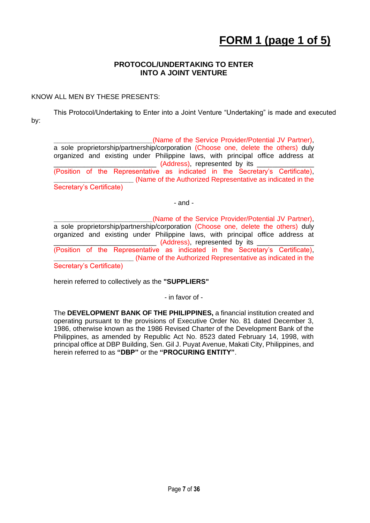## **FORM 1 (page 1 of 5)**

### **PROTOCOL/UNDERTAKING TO ENTER INTO A JOINT VENTURE**

### KNOW ALL MEN BY THESE PRESENTS:

This Protocol/Undertaking to Enter into a Joint Venture "Undertaking" is made and executed by:

**\_\_\_\_\_\_\_\_\_\_\_\_\_\_\_\_\_\_\_\_\_\_\_\_\_\_**(Name of the Service Provider/Potential JV Partner), a sole proprietorship/partnership/corporation (Choose one, delete the others) duly organized and existing under Philippine laws, with principal office address at \_\_\_ (Address), represented by its (Position of the Representative as indicated in the Secretary's Certificate), **\_\_\_\_\_\_\_\_\_\_\_\_\_\_\_\_\_\_\_\_\_** (Name of the Authorized Representative as indicated in the Secretary's Certificate)

- and -

**\_\_\_\_\_\_\_\_\_\_\_\_\_\_\_\_\_\_\_\_\_\_\_\_\_\_**(Name of the Service Provider/Potential JV Partner), a sole proprietorship/partnership/corporation (Choose one, delete the others) duly organized and existing under Philippine laws, with principal office address at \_\_\_\_\_\_\_\_\_\_\_\_\_\_\_\_\_\_\_\_\_\_\_\_\_\_\_ (Address), represented by its \_\_\_\_\_\_\_\_\_\_\_\_\_\_\_ (Position of the Representative as indicated in the Secretary's Certificate), **\_\_\_\_\_\_\_\_\_\_\_\_\_\_\_\_\_\_\_\_\_** (Name of the Authorized Representative as indicated in the Secretary's Certificate)

herein referred to collectively as the **"SUPPLIERS"**

- in favor of -

The **DEVELOPMENT BANK OF THE PHILIPPINES,** a financial institution created and operating pursuant to the provisions of Executive Order No. 81 dated December 3, 1986, otherwise known as the 1986 Revised Charter of the Development Bank of the Philippines, as amended by Republic Act No. 8523 dated February 14, 1998, with principal office at DBP Building, Sen. Gil J. Puyat Avenue, Makati City, Philippines, and herein referred to as **"DBP"** or the **"PROCURING ENTITY"**.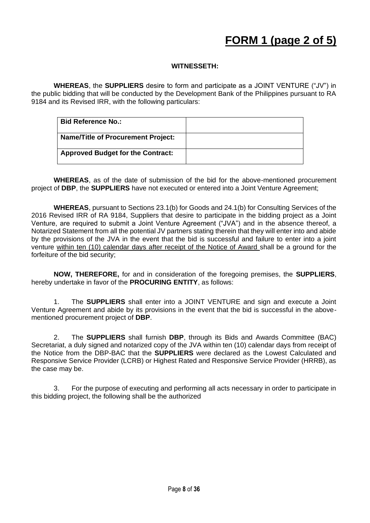### **WITNESSETH:**

**WHEREAS**, the **SUPPLIERS** desire to form and participate as a JOINT VENTURE ("JV") in the public bidding that will be conducted by the Development Bank of the Philippines pursuant to RA 9184 and its Revised IRR, with the following particulars:

| <b>Bid Reference No.:</b>                 |  |
|-------------------------------------------|--|
| <b>Name/Title of Procurement Project:</b> |  |
| <b>Approved Budget for the Contract:</b>  |  |

**WHEREAS**, as of the date of submission of the bid for the above-mentioned procurement project of **DBP**, the **SUPPLIERS** have not executed or entered into a Joint Venture Agreement;

**WHEREAS**, pursuant to Sections 23.1(b) for Goods and 24.1(b) for Consulting Services of the 2016 Revised IRR of RA 9184, Suppliers that desire to participate in the bidding project as a Joint Venture, are required to submit a Joint Venture Agreement ("JVA") and in the absence thereof, a Notarized Statement from all the potential JV partners stating therein that they will enter into and abide by the provisions of the JVA in the event that the bid is successful and failure to enter into a joint venture within ten (10) calendar days after receipt of the Notice of Award shall be a ground for the forfeiture of the bid security;

**NOW, THEREFORE,** for and in consideration of the foregoing premises, the **SUPPLIERS**, hereby undertake in favor of the **PROCURING ENTITY**, as follows:

1. The **SUPPLIERS** shall enter into a JOINT VENTURE and sign and execute a Joint Venture Agreement and abide by its provisions in the event that the bid is successful in the abovementioned procurement project of **DBP**.

2. The **SUPPLIERS** shall furnish **DBP**, through its Bids and Awards Committee (BAC) Secretariat, a duly signed and notarized copy of the JVA within ten (10) calendar days from receipt of the Notice from the DBP-BAC that the **SUPPLIERS** were declared as the Lowest Calculated and Responsive Service Provider (LCRB) or Highest Rated and Responsive Service Provider (HRRB), as the case may be.

3. For the purpose of executing and performing all acts necessary in order to participate in this bidding project, the following shall be the authorized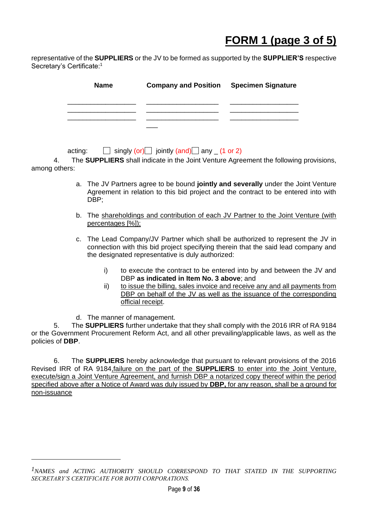## **FORM 1 (page 3 of 5)**

representative of the **SUPPLIERS** or the JV to be formed as supported by the **SUPPLIER'S** respective Secretary's Certificate:<sup>1</sup>

| <b>Name</b> | <b>Company and Position Specimen Signature</b> |  |
|-------------|------------------------------------------------|--|
|             |                                                |  |
|             |                                                |  |
|             |                                                |  |

acting:  $\Box$  singly (or) jointly (and) any (1 or 2)

4. The **SUPPLIERS** shall indicate in the Joint Venture Agreement the following provisions, among others:

- a. The JV Partners agree to be bound **jointly and severally** under the Joint Venture Agreement in relation to this bid project and the contract to be entered into with DBP;
- b. The shareholdings and contribution of each JV Partner to the Joint Venture (with percentages [%]);
- c. The Lead Company/JV Partner which shall be authorized to represent the JV in connection with this bid project specifying therein that the said lead company and the designated representative is duly authorized:
	- i) to execute the contract to be entered into by and between the JV and DBP **as indicated in Item No. 3 above**; and
	- ii) to issue the billing, sales invoice and receive any and all payments from DBP on behalf of the JV as well as the issuance of the corresponding official receipt.
- d. The manner of management.

5. The **SUPPLIERS** further undertake that they shall comply with the 2016 IRR of RA 9184 or the Government Procurement Reform Act, and all other prevailing/applicable laws, as well as the policies of **DBP**.

6. The **SUPPLIERS** hereby acknowledge that pursuant to relevant provisions of the 2016 Revised IRR of RA 9184,failure on the part of the **SUPPLIERS** to enter into the Joint Venture, execute/sign a Joint Venture Agreement, and furnish DBP a notarized copy thereof within the period specified above after a Notice of Award was duly issued by **DBP,** for any reason, shall be a ground for non-issuance

*<sup>1</sup>NAMES and ACTING AUTHORITY SHOULD CORRESPOND TO THAT STATED IN THE SUPPORTING SECRETARY'S CERTIFICATE FOR BOTH CORPORATIONS.*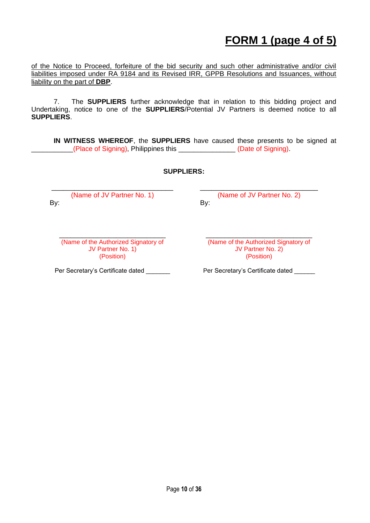## **FORM 1 (page 4 of 5)**

of the Notice to Proceed, forfeiture of the bid security and such other administrative and/or civil liabilities imposed under RA 9184 and its Revised IRR, GPPB Resolutions and Issuances, without liability on the part of **DBP**.

7. The **SUPPLIERS** further acknowledge that in relation to this bidding project and Undertaking, notice to one of the **SUPPLIERS**/Potential JV Partners is deemed notice to all **SUPPLIERS**.

**IN WITNESS WHEREOF**, the **SUPPLIERS** have caused these presents to be signed at \_\_\_\_\_\_\_\_\_\_\_(Place of Signing), Philippines this \_\_\_\_\_\_\_\_\_\_\_\_\_\_\_ (Date of Signing).

#### **SUPPLIERS:**

\_\_\_\_\_\_\_\_\_\_\_\_\_\_\_\_\_\_\_\_\_\_\_\_\_\_\_\_\_\_\_\_ (Name of JV Partner No. 1) By: By: Exercise By: Exercise By:

\_\_\_\_\_\_\_\_\_\_\_\_\_\_\_\_\_\_\_\_\_\_\_\_\_\_\_\_\_\_\_ (Name of JV Partner No. 2)

(Name of the Authorized Signatory of JV Partner No. 1)

Per Secretary's Certificate dated **Per Secretary's Certificate dated** 

\_\_\_\_\_\_\_\_\_\_\_\_\_\_\_\_\_\_\_\_\_\_\_\_\_\_\_\_ \_\_\_\_\_\_\_\_\_\_\_\_\_\_\_\_\_\_\_\_\_\_\_\_\_\_\_\_ (Name of the Authorized Signatory of JV Partner No. 2) (Position) (Position)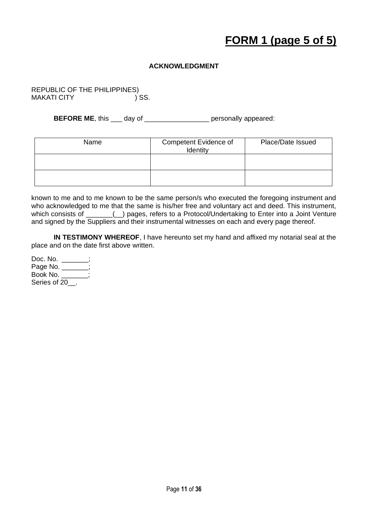## **FORM 1 (page 5 of 5)**

### **ACKNOWLEDGMENT**

REPUBLIC OF THE PHILIPPINES)<br>MAKATI CITY (1958) **MAKATI CITY** 

**BEFORE ME**, this \_\_\_ day of \_\_\_\_\_\_\_\_\_\_\_\_\_\_\_\_\_ personally appeared:

| Name | Competent Evidence of<br>Identity | Place/Date Issued |
|------|-----------------------------------|-------------------|
|      |                                   |                   |
|      |                                   |                   |

known to me and to me known to be the same person/s who executed the foregoing instrument and who acknowledged to me that the same is his/her free and voluntary act and deed. This instrument, which consists of \_\_\_\_\_\_() pages, refers to a Protocol/Undertaking to Enter into a Joint Venture and signed by the Suppliers and their instrumental witnesses on each and every page thereof.

**IN TESTIMONY WHEREOF**, I have hereunto set my hand and affixed my notarial seal at the place and on the date first above written.

| Doc. No.        |  |
|-----------------|--|
| Page No. $_{-}$ |  |
| Book No. _      |  |
| Series of 20    |  |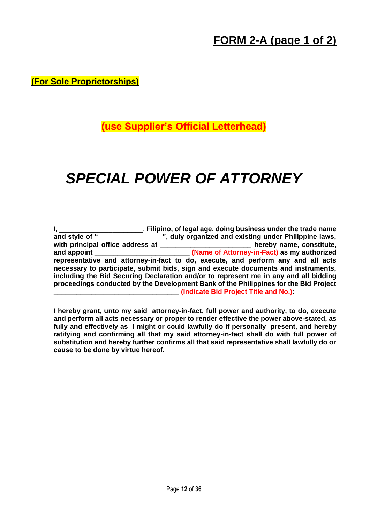### **FORM 2-A (page 1 of 2)**

**(For Sole Proprietorships)**

**(use Supplier's Official Letterhead)**

# *SPECIAL POWER OF ATTORNEY*

|                                  | Filipino, of legal age, doing business under the trade name                          |
|----------------------------------|--------------------------------------------------------------------------------------|
| and style of "                   | ", duly organized and existing under Philippine laws,                                |
| with principal office address at | hereby name, constitute,                                                             |
| and appoint                      | (Name of Attorney-in-Fact) as my authorized                                          |
|                                  | representative and attorney-in-fact to do, execute, and perform any and all acts     |
|                                  | necessary to participate, submit bids, sign and execute documents and instruments,   |
|                                  | including the Bid Securing Declaration and/or to represent me in any and all bidding |
|                                  | proceedings conducted by the Development Bank of the Philippines for the Bid Project |
|                                  | (Indicate Bid Project Title and No.)                                                 |

**I hereby grant, unto my said attorney-in-fact, full power and authority, to do, execute and perform all acts necessary or proper to render effective the power above-stated, as fully and effectively as I might or could lawfully do if personally present, and hereby ratifying and confirming all that my said attorney-in-fact shall do with full power of substitution and hereby further confirms all that said representative shall lawfully do or cause to be done by virtue hereof.**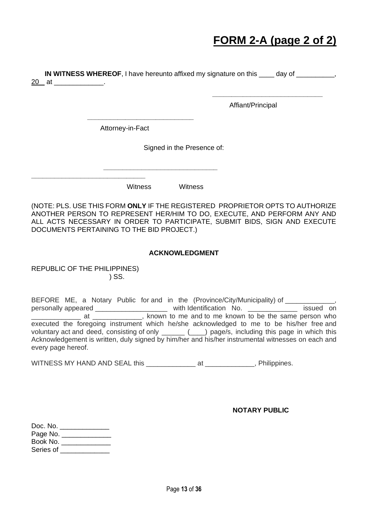### **FORM 2-A (page 2 of 2)**

**IN WITNESS WHEREOF**, I have hereunto affixed my signature on this \_\_\_\_ day of \_\_\_\_\_\_\_\_\_\_, 20 at \_\_\_\_\_\_\_\_\_\_\_\_.

Affiant/Principal

 **\_\_\_\_\_\_\_\_\_\_\_\_\_\_\_\_\_\_\_\_\_\_\_\_\_\_\_\_\_**

Attorney-in-Fact

 **\_\_\_\_\_\_\_\_\_\_\_\_\_\_\_\_\_\_\_\_\_\_\_\_\_\_\_\_\_\_** 

**\_\_\_\_\_\_\_\_\_\_\_\_\_\_\_\_\_\_\_\_\_\_\_\_\_\_\_\_**

Signed in the Presence of:

Witness Witness

(NOTE: PLS. USE THIS FORM **ONLY** IF THE REGISTERED PROPRIETOR OPTS TO AUTHORIZE ANOTHER PERSON TO REPRESENT HER/HIM TO DO, EXECUTE, AND PERFORM ANY AND ALL ACTS NECESSARY IN ORDER TO PARTICIPATE, SUBMIT BIDS, SIGN AND EXECUTE DOCUMENTS PERTAINING TO THE BID PROJECT.)

#### **ACKNOWLEDGMENT**

REPUBLIC OF THE PHILIPPINES) ) SS.

**\_\_\_\_\_\_\_\_\_\_\_\_\_\_\_\_\_\_\_\_\_\_\_\_\_\_\_\_\_\_**

BEFORE ME, a Notary Public for and in the (Province/City/Municipality) of \_\_\_\_\_\_ personally appeared \_\_\_\_\_\_\_\_\_\_\_\_\_\_\_\_\_\_\_\_\_\_\_\_ with Identification No. \_\_\_\_\_\_\_\_\_\_\_\_\_\_\_\_\_ issued on at electron at a sum who was at a shown to me and to me known to be the same person who executed the foregoing instrument which he/she acknowledged to me to be his/her free and voluntary act and deed, consisting of only \_\_\_\_\_\_ (\_\_\_) page/s, including this page in which this Acknowledgement is written, duly signed by him/her and his/her instrumental witnesses on each and every page hereof.

WITNESS MY HAND AND SEAL this \_\_\_\_\_\_\_\_\_\_\_\_\_\_\_ at \_\_\_\_\_\_\_\_\_\_\_\_\_, Philippines.

**NOTARY PUBLIC**

| Doc. No.  |  |
|-----------|--|
| Page No.  |  |
| Book No.  |  |
| Series of |  |
|           |  |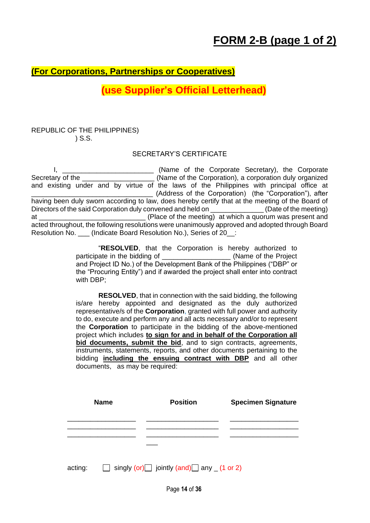### **(For Corporations, Partnerships or Cooperatives)**

### **(use Supplier's Official Letterhead)**

### REPUBLIC OF THE PHILIPPINES) ) S.S.

### SECRETARY'S CERTIFICATE

I, \_\_\_\_\_\_\_\_\_\_\_\_\_\_\_\_\_\_\_\_\_\_\_\_\_\_\_\_\_\_ (Name of the Corporate Secretary), the Corporate Secretary of the \_\_\_\_\_\_\_\_\_\_\_\_\_\_\_\_\_\_\_\_\_\_(Name of the Corporation), a corporation duly organized and existing under and by virtue of the laws of the Philippines with principal office at \_\_\_\_\_\_\_\_\_\_\_\_\_\_\_\_\_\_\_\_\_\_\_\_\_\_\_\_\_\_\_\_ (Address of the Corporation) (the "Corporation"), after having been duly sworn according to law, does hereby certify that at the meeting of the Board of Directors of the said Corporation duly convened and held on \_\_\_\_\_\_\_\_\_\_\_\_\_\_\_\_(Date of the meeting) at \_\_\_\_\_\_\_\_\_\_\_\_\_\_\_\_\_\_\_\_\_\_\_\_\_\_\_\_ (Place of the meeting) at which a quorum was present and acted throughout, the following resolutions were unanimously approved and adopted through Board Resolution No. \_\_\_ (Indicate Board Resolution No.), Series of 20\_\_:

> "**RESOLVED**, that the Corporation is hereby authorized to participate in the bidding of \_\_\_\_\_\_\_\_\_\_\_\_\_\_\_\_\_\_\_\_\_\_ (Name of the Project and Project ID No.) of the Development Bank of the Philippines ("DBP" or the "Procuring Entity") and if awarded the project shall enter into contract with DBP;

> **RESOLVED**, that in connection with the said bidding, the following is/are hereby appointed and designated as the duly authorized representative/s of the **Corporation**, granted with full power and authority to do, execute and perform any and all acts necessary and/or to represent the **Corporation** to participate in the bidding of the above-mentioned project which includes **to sign for and in behalf of the Corporation all bid documents, submit the bid**, and to sign contracts, agreements, instruments, statements, reports, and other documents pertaining to the bidding **including the ensuing contract with DBP** and all other documents, as may be required:

|         | <b>Name</b> | <b>Position</b>                                   | <b>Specimen Signature</b> |
|---------|-------------|---------------------------------------------------|---------------------------|
|         |             |                                                   |                           |
|         |             |                                                   |                           |
| acting: |             | singly (or) jointly (and) any $(1 \text{ or } 2)$ |                           |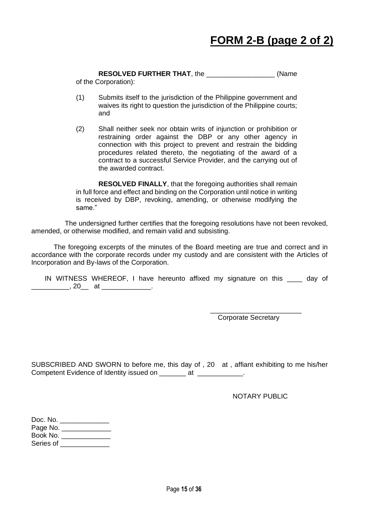**RESOLVED FURTHER THAT**, the \_\_\_\_\_\_\_\_\_\_\_\_\_\_\_\_\_\_ (Name

of the Corporation):

- (1) Submits itself to the jurisdiction of the Philippine government and waives its right to question the jurisdiction of the Philippine courts; and
- (2) Shall neither seek nor obtain writs of injunction or prohibition or restraining order against the DBP or any other agency in connection with this project to prevent and restrain the bidding procedures related thereto, the negotiating of the award of a contract to a successful Service Provider, and the carrying out of the awarded contract.

**RESOLVED FINALLY**, that the foregoing authorities shall remain in full force and effect and binding on the Corporation until notice in writing is received by DBP, revoking, amending, or otherwise modifying the same."

The undersigned further certifies that the foregoing resolutions have not been revoked, amended, or otherwise modified, and remain valid and subsisting.

The foregoing excerpts of the minutes of the Board meeting are true and correct and in accordance with the corporate records under my custody and are consistent with the Articles of Incorporation and By-laws of the Corporation.

IN WITNESS WHEREOF, I have hereunto affixed my signature on this day of \_\_\_\_\_\_\_\_\_\_, 20\_\_\_ at \_\_\_\_\_\_\_\_\_\_\_\_\_\_.

> \_\_\_\_\_\_\_\_\_\_\_\_\_\_\_\_\_\_\_\_\_\_\_\_ Corporate Secretary

SUBSCRIBED AND SWORN to before me, this day of , 20 at , affiant exhibiting to me his/her Competent Evidence of Identity issued on \_\_\_\_\_\_\_ at \_\_\_\_\_\_\_\_\_\_\_\_.

NOTARY PUBLIC

| Doc. No.  |  |
|-----------|--|
| Page No.  |  |
| Book No.  |  |
| Series of |  |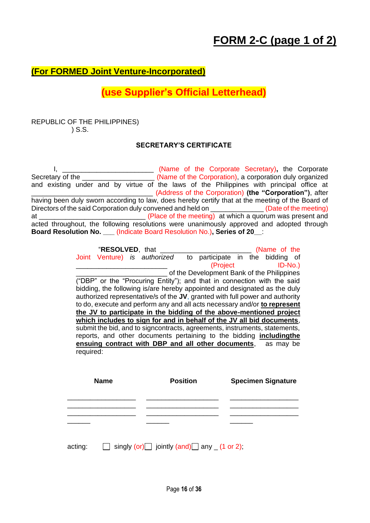### **(For FORMED Joint Venture-Incorporated)**

### **(use Supplier's Official Letterhead)**

### REPUBLIC OF THE PHILIPPINES) ) S.S.

### **SECRETARY'S CERTIFICATE**

I, \_\_\_\_\_\_\_\_\_\_\_\_\_\_\_\_\_\_\_\_\_\_\_\_ (Name of the Corporate Secretary)**,** the Corporate Secretary of the **with the Collect Constant Constant** (Name of the Corporation), a corporation duly organized and existing under and by virtue of the laws of the Philippines with principal office at \_\_\_\_\_\_\_\_\_\_\_\_\_\_\_\_\_\_\_\_\_\_\_\_\_\_\_\_\_\_\_\_ (Address of the Corporation) **(the "Corporation")**, after having been duly sworn according to law, does hereby certify that at the meeting of the Board of Directors of the said Corporation duly convened and held on \_\_\_\_\_\_\_\_\_\_\_\_\_\_\_(Date of the meeting) at \_\_\_\_\_\_\_\_\_\_\_\_\_\_\_\_\_\_\_\_\_\_\_\_\_\_\_\_ (Place of the meeting) at which a quorum was present and acted throughout, the following resolutions were unanimously approved and adopted through **Board Resolution No. \_\_\_** (Indicate Board Resolution No.)**, Series of 20\_\_**:

|                              |                                                                              |                                            | (Name of the              |  |
|------------------------------|------------------------------------------------------------------------------|--------------------------------------------|---------------------------|--|
| Joint Venture) is authorized |                                                                              | to participate in the bidding of           |                           |  |
|                              |                                                                              | (Project                                   | $ID-No.$                  |  |
|                              |                                                                              | of the Development Bank of the Philippines |                           |  |
|                              | ("DBP" or the "Procuring Entity"); and that in connection with the said      |                                            |                           |  |
|                              | bidding, the following is/are hereby appointed and designated as the duly    |                                            |                           |  |
|                              | authorized representative/s of the JV, granted with full power and authority |                                            |                           |  |
|                              | to do, execute and perform any and all acts necessary and/or to represent    |                                            |                           |  |
|                              | the JV to participate in the bidding of the above-mentioned project          |                                            |                           |  |
|                              | which includes to sign for and in behalf of the JV all bid documents,        |                                            |                           |  |
|                              | submit the bid, and to signcontracts, agreements, instruments, statements,   |                                            |                           |  |
|                              | reports, and other documents pertaining to the bidding <i>includingthe</i>   |                                            |                           |  |
|                              |                                                                              |                                            |                           |  |
|                              | ensuing contract with DBP and all other documents, as may be                 |                                            |                           |  |
|                              |                                                                              |                                            |                           |  |
|                              |                                                                              |                                            |                           |  |
|                              |                                                                              |                                            |                           |  |
| <b>Name</b>                  | <b>Position</b>                                                              |                                            | <b>Specimen Signature</b> |  |
|                              |                                                                              |                                            |                           |  |
|                              |                                                                              |                                            |                           |  |
|                              |                                                                              |                                            |                           |  |
|                              |                                                                              |                                            |                           |  |
| required:                    |                                                                              |                                            |                           |  |
|                              |                                                                              |                                            |                           |  |
| acting:                      | singly (or) $\Box$ jointly (and) $\Box$ any $(1 \text{ or } 2)$ ;            |                                            |                           |  |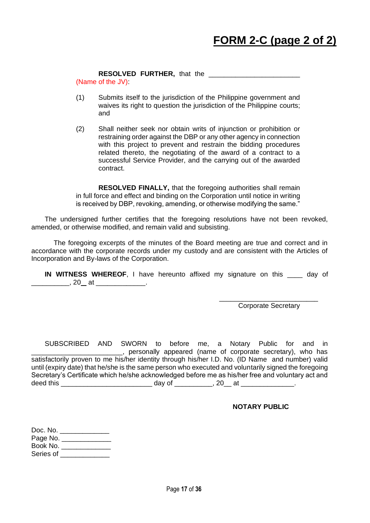#### **RESOLVED FURTHER,** that the \_\_\_\_\_\_\_\_\_\_\_\_\_\_\_\_\_\_\_\_\_\_\_\_

(Name of the JV):

- (1) Submits itself to the jurisdiction of the Philippine government and waives its right to question the jurisdiction of the Philippine courts; and
- (2) Shall neither seek nor obtain writs of injunction or prohibition or restraining order against the DBP or any other agency in connection with this project to prevent and restrain the bidding procedures related thereto, the negotiating of the award of a contract to a successful Service Provider, and the carrying out of the awarded contract.

**RESOLVED FINALLY,** that the foregoing authorities shall remain in full force and effect and binding on the Corporation until notice in writing is received by DBP, revoking, amending, or otherwise modifying the same."

The undersigned further certifies that the foregoing resolutions have not been revoked, amended, or otherwise modified, and remain valid and subsisting.

The foregoing excerpts of the minutes of the Board meeting are true and correct and in accordance with the corporate records under my custody and are consistent with the Articles of Incorporation and By-laws of the Corporation.

**IN WITNESS WHEREOF**, I have hereunto affixed my signature on this \_\_\_\_ day of  $20$  at  $\qquad \qquad \ldots$ 

> \_\_\_\_\_\_\_\_\_\_\_\_\_\_\_\_\_\_\_\_\_\_\_\_\_\_ Corporate Secretary

SUBSCRIBED AND SWORN to before me, a Notary Public for and in \_\_\_\_\_\_\_\_\_\_\_\_\_\_\_\_\_\_\_\_\_\_\_\_, personally appeared (name of corporate secretary), who has satisfactorily proven to me his/her identity through his/her I.D. No. (ID Name and number) valid until (expiry date) that he/she is the same person who executed and voluntarily signed the foregoing Secretary's Certificate which he/she acknowledged before me as his/her free and voluntary act and deed this \_\_\_\_\_\_\_\_\_\_\_\_\_\_\_\_\_\_\_\_\_\_\_\_\_\_\_\_\_\_\_\_\_\_\_ day of \_\_\_\_\_\_\_\_\_\_\_\_\_, 20\_\_\_ at \_\_\_\_\_\_

#### **NOTARY PUBLIC**

| Doc. No.  |  |
|-----------|--|
| Page No.  |  |
| Book No.  |  |
| Series of |  |
|           |  |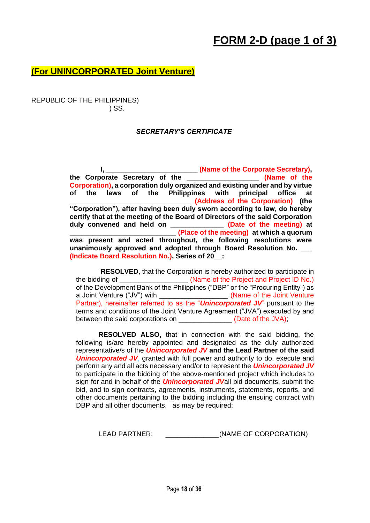### **FORM 2-D (page 1 of 3)**

### **(For UNINCORPORATED Joint Venture)**

REPUBLIC OF THE PHILIPPINES) ) SS.

#### *SECRETARY'S CERTIFICATE*

 **I, \_\_\_\_\_\_\_\_\_\_\_\_\_\_\_\_\_\_\_\_\_\_\_\_ (Name of the Corporate Secretary), the Corporate Secretary of the \_\_\_\_\_\_\_\_\_\_\_\_\_\_\_\_\_\_\_ (Name of the Corporation), a corporation duly organized and existing under and by virtue of the laws of the Philippines with principal office at \_\_\_\_\_\_\_\_\_\_\_\_\_\_\_\_\_\_\_\_\_\_\_\_\_\_\_\_\_\_\_\_ (Address of the Corporation) (the "Corporation"), after having been duly sworn according to law, do hereby certify that at the meeting of the Board of Directors of the said Corporation duly convened and held on \_\_\_\_\_\_\_\_\_\_\_\_\_\_ (Date of the meeting) at \_\_\_\_\_\_\_\_\_\_\_\_\_\_\_\_\_\_\_\_\_\_\_\_\_\_\_\_ (Place of the meeting) at which a quorum was present and acted throughout, the following resolutions were**  unanimously approved and adopted through Board Resolution No. **(Indicate Board Resolution No.), Series of 20\_\_:**

"**RESOLVED**, that the Corporation is hereby authorized to participate in the bidding of  $\blacksquare$  (Name of the Project and Project ID No.) of the Development Bank of the Philippines ("DBP" or the "Procuring Entity") as a Joint Venture ("JV") with \_\_\_\_\_\_\_\_\_\_\_\_\_\_\_\_\_\_\_\_\_ (Name of the Joint Venture Partner), hereinafter referred to as the "*Unincorporated JV*" pursuant to the terms and conditions of the Joint Venture Agreement ("JVA") executed by and between the said corporations on \_\_\_\_\_\_\_\_\_\_\_\_\_\_\_\_ (Date of the JVA);

**RESOLVED ALSO,** that in connection with the said bidding, the following is/are hereby appointed and designated as the duly authorized representative/s of the *Unincorporated JV* **and the Lead Partner of the said Unincorporated JV**, granted with full power and authority to do, execute and perform any and all acts necessary and/or to represent the *Unincorporated JV* to participate in the bidding of the above-mentioned project which includes to sign for and in behalf of the *Unincorporated JV*all bid documents, submit the bid, and to sign contracts, agreements, instruments, statements, reports, and other documents pertaining to the bidding including the ensuing contract with DBP and all other documents, as may be required:

LEAD PARTNER:  $(NAME OF CORPORTION)$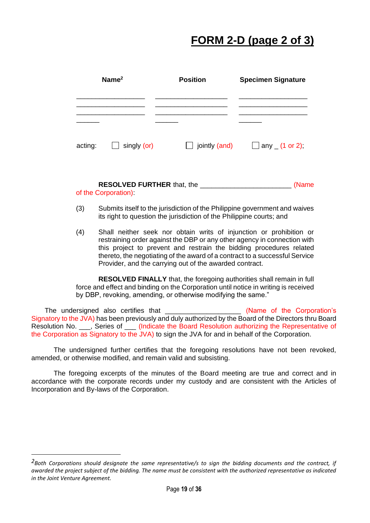## **FORM 2-D (page 2 of 3)**

| Name $2$ |                    | <b>Position</b>          | <b>Specimen Signature</b>       |  |
|----------|--------------------|--------------------------|---------------------------------|--|
|          |                    |                          |                                 |  |
| acting:  | $\Box$ singly (or) | jointly (and)<br>$\perp$ | $\Box$ any $(1 \text{ or } 2);$ |  |

**RESOLVED FURTHER** that, the \_\_\_\_\_\_\_\_\_\_\_\_\_\_\_\_\_\_\_\_\_\_\_\_ (Name of the Corporation):

- (3) Submits itself to the jurisdiction of the Philippine government and waives its right to question the jurisdiction of the Philippine courts; and
- (4) Shall neither seek nor obtain writs of injunction or prohibition or restraining order against the DBP or any other agency in connection with this project to prevent and restrain the bidding procedures related thereto, the negotiating of the award of a contract to a successful Service Provider, and the carrying out of the awarded contract.

**RESOLVED FINALLY** that, the foregoing authorities shall remain in full force and effect and binding on the Corporation until notice in writing is received by DBP, revoking, amending, or otherwise modifying the same."

The undersigned also certifies that \_\_\_\_\_\_\_\_\_\_\_\_\_\_\_\_\_\_\_\_\_\_ (Name of the Corporation's Signatory to the JVA) has been previously and duly authorized by the Board of the Directors thru Board Resolution No. \_\_\_, Series of \_\_\_ (Indicate the Board Resolution authorizing the Representative of the Corporation as Signatory to the JVA) to sign the JVA for and in behalf of the Corporation.

The undersigned further certifies that the foregoing resolutions have not been revoked, amended, or otherwise modified, and remain valid and subsisting.

The foregoing excerpts of the minutes of the Board meeting are true and correct and in accordance with the corporate records under my custody and are consistent with the Articles of Incorporation and By-laws of the Corporation.

*<sup>2</sup>Both Corporations should designate the same representative/s to sign the bidding documents and the contract, if awarded the project subject of the bidding. The name must be consistent with the authorized representative as indicated in the Joint Venture Agreement.*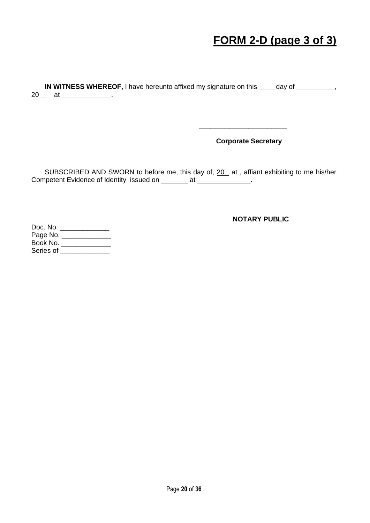### **FORM 2-D (page 3 of 3)**

**IN WITNESS WHEREOF**, I have hereunto affixed my signature on this \_\_\_\_ day of \_\_\_\_\_\_\_\_\_, 20\_\_\_\_ at \_\_\_\_\_\_\_\_\_\_\_\_\_\_.

 **Corporate Secretary**

**\_\_\_\_\_\_\_\_\_\_\_\_\_\_\_\_\_\_\_\_\_\_\_**

SUBSCRIBED AND SWORN to before me, this day of, 20 at, affiant exhibiting to me his/her Competent Evidence of Identity issued on \_\_\_\_\_\_\_ at \_\_\_\_\_\_\_\_\_\_\_\_\_\_.

**NOTARY PUBLIC**

Doc. No. \_\_\_\_\_\_\_\_\_\_\_\_\_\_\_ Page No. \_\_\_\_\_\_\_\_\_\_\_\_\_\_\_ Book No. \_\_\_\_\_\_\_\_\_\_\_\_\_ Series of \_\_\_\_\_\_\_\_\_\_\_\_\_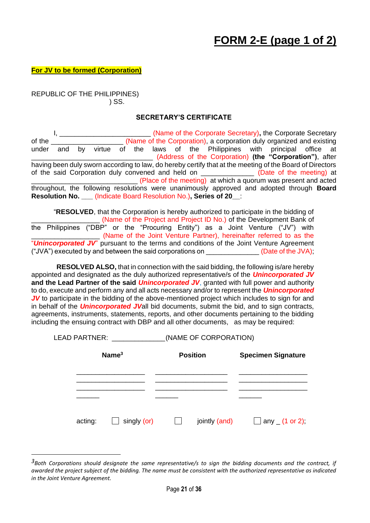**For JV to be formed (Corporation)**

REPUBLIC OF THE PHILIPPINES) ) SS.

#### **SECRETARY'S CERTIFICATE**

I, \_\_\_\_\_\_\_\_\_\_\_\_\_\_\_\_\_\_\_\_\_\_\_\_ (Name of the Corporate Secretary)**,** the Corporate Secretary of the **Example 20** (Name of the Corporation), a corporation duly organized and existing under and by virtue of the laws of the Philippines with principal office at \_\_\_\_\_\_\_\_\_\_\_\_\_\_\_\_\_\_\_\_\_\_\_\_\_\_\_\_\_\_\_\_ (Address of the Corporation) **(the "Corporation")**, after having been duly sworn according to law, do hereby certify that at the meeting of the Board of Directors of the said Corporation duly convened and held on \_\_\_\_\_\_\_\_\_\_\_\_\_\_\_ (Date of the meeting) at \_\_\_\_\_\_\_\_\_\_\_\_\_\_\_\_\_\_\_\_\_\_\_\_\_\_\_\_ (Place of the meeting) at which a quorum was present and acted throughout, the following resolutions were unanimously approved and adopted through **Board Resolution No. \_\_\_** (Indicate Board Resolution No.)**, Series of 20\_\_**:

"**RESOLVED**, that the Corporation is hereby authorized to participate in the bidding of (Name of the Project and Project ID No.) of the Development Bank of the Philippines ("DBP" or the "Procuring Entity") as a Joint Venture ("JV") with \_\_\_\_\_\_\_\_\_\_\_\_\_\_\_\_\_\_ (Name of the Joint Venture Partner), hereinafter referred to as the "*Unincorporated JV*" pursuant to the terms and conditions of the Joint Venture Agreement ("JVA") executed by and between the said corporations on  $(Date of the JVA);$ 

**RESOLVED ALSO,** that in connection with the said bidding, the following is/are hereby appointed and designated as the duly authorized representative/s of the *Unincorporated JV* **and the Lead Partner of the said** *Unincorporated JV*, granted with full power and authority to do, execute and perform any and all acts necessary and/or to represent the *Unincorporated JV* to participate in the bidding of the above-mentioned project which includes to sign for and in behalf of the *Unincorporated JV*all bid documents, submit the bid, and to sign contracts, agreements, instruments, statements, reports, and other documents pertaining to the bidding including the ensuing contract with DBP and all other documents, as may be required:

LEAD PARTNER: (NAME OF CORPORATION)

| Name <sup>3</sup> |                    | <b>Position</b> | <b>Specimen Signature</b>        |  |  |
|-------------------|--------------------|-----------------|----------------------------------|--|--|
|                   |                    |                 |                                  |  |  |
|                   |                    |                 |                                  |  |  |
| acting:           | $\Box$ singly (or) | jointly (and)   | $\Box$ any $(1 \text{ or } 2)$ ; |  |  |

*<sup>3</sup>Both Corporations should designate the same representative/s to sign the bidding documents and the contract, if awarded the project subject of the bidding. The name must be consistent with the authorized representative as indicated in the Joint Venture Agreement.*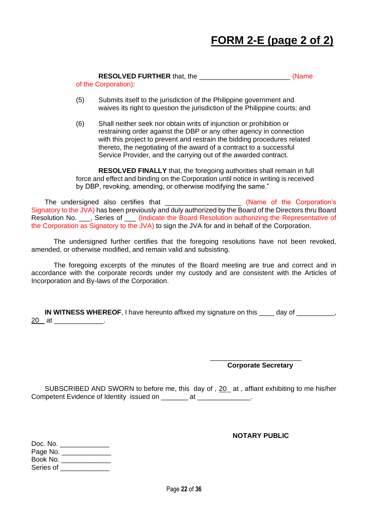## **FORM 2-E (page 2 of 2)**

|  | <b>RESOLVED FURTHER that, the</b> | (Name |
|--|-----------------------------------|-------|
|  |                                   |       |

of the Corporation):

- (5) Submits itself to the jurisdiction of the Philippine government and waives its right to question the jurisdiction of the Philippine courts; and
- (6) Shall neither seek nor obtain writs of injunction or prohibition or restraining order against the DBP or any other agency in connection with this project to prevent and restrain the bidding procedures related thereto, the negotiating of the award of a contract to a successful Service Provider, and the carrying out of the awarded contract.

**RESOLVED FINALLY** that, the foregoing authorities shall remain in full force and effect and binding on the Corporation until notice in writing is received by DBP, revoking, amending, or otherwise modifying the same."

The undersigned also certifies that the second state of the Corporation's Signatory to the JVA) has been previously and duly authorized by the Board of the Directors thru Board Resolution No. \_\_\_, Series of \_\_\_ (Indicate the Board Resolution authorizing the Representative of the Corporation as Signatory to the JVA) to sign the JVA for and in behalf of the Corporation.

The undersigned further certifies that the foregoing resolutions have not been revoked, amended, or otherwise modified, and remain valid and subsisting.

The foregoing excerpts of the minutes of the Board meeting are true and correct and in accordance with the corporate records under my custody and are consistent with the Articles of Incorporation and By-laws of the Corporation.

**IN WITNESS WHEREOF**, I have hereunto affixed my signature on this \_\_\_\_ day of \_\_\_\_\_\_\_\_, <u>20\_\_</u>at \_\_\_\_\_\_\_\_\_\_\_\_\_\_

> \_\_\_\_\_\_\_\_\_\_\_\_\_\_\_\_\_\_\_\_\_\_\_\_  **Corporate Secretary**

SUBSCRIBED AND SWORN to before me, this day of ,  $20$  at , affiant exhibiting to me his/her Competent Evidence of Identity issued on \_\_\_\_\_\_\_\_\_\_ at \_\_\_\_\_\_\_\_

**NOTARY PUBLIC**

| Doc. No.  |  |  |
|-----------|--|--|
| Page No.  |  |  |
| Book No.  |  |  |
| Series of |  |  |
|           |  |  |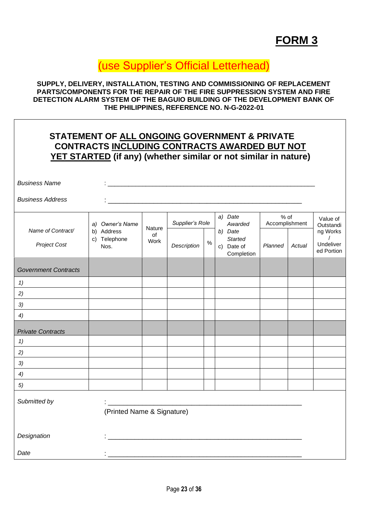### **FORM 3**

### (use Supplier's Official Letterhead)

**SUPPLY, DELIVERY, INSTALLATION, TESTING AND COMMISSIONING OF REPLACEMENT PARTS/COMPONENTS FOR THE REPAIR OF THE FIRE SUPPRESSION SYSTEM AND FIRE DETECTION ALARM SYSTEM OF THE BAGUIO BUILDING OF THE DEVELOPMENT BANK OF THE PHILIPPINES, REFERENCE NO. N-G-2022-01**

### **STATEMENT OF ALL ONGOING GOVERNMENT & PRIVATE CONTRACTS INCLUDING CONTRACTS AWARDED BUT NOT YET STARTED (if any) (whether similar or not similar in nature)**

| <b>Business Name</b>                     |                                    |            |                                                                                                                      |      |                                                       |                          |        |                                                 |
|------------------------------------------|------------------------------------|------------|----------------------------------------------------------------------------------------------------------------------|------|-------------------------------------------------------|--------------------------|--------|-------------------------------------------------|
| <b>Business Address</b>                  |                                    |            |                                                                                                                      |      |                                                       |                          |        |                                                 |
|                                          | a) Owner's Name                    | Nature     | Supplier's Role                                                                                                      |      | a) Date<br>Awarded                                    | $%$ of<br>Accomplishment |        | Value of<br>Outstandi                           |
| Name of Contract/<br><b>Project Cost</b> | b) Address<br>c) Telephone<br>Nos. | of<br>Work | Description                                                                                                          | $\%$ | b) Date<br><b>Started</b><br>c) Date of<br>Completion | Planned                  | Actual | ng Works<br>$\prime$<br>Undeliver<br>ed Portion |
| <b>Government Contracts</b>              |                                    |            |                                                                                                                      |      |                                                       |                          |        |                                                 |
| 1)                                       |                                    |            |                                                                                                                      |      |                                                       |                          |        |                                                 |
| 2)                                       |                                    |            |                                                                                                                      |      |                                                       |                          |        |                                                 |
| 3)                                       |                                    |            |                                                                                                                      |      |                                                       |                          |        |                                                 |
| 4)                                       |                                    |            |                                                                                                                      |      |                                                       |                          |        |                                                 |
| <b>Private Contracts</b>                 |                                    |            |                                                                                                                      |      |                                                       |                          |        |                                                 |
| 1)                                       |                                    |            |                                                                                                                      |      |                                                       |                          |        |                                                 |
| 2)                                       |                                    |            |                                                                                                                      |      |                                                       |                          |        |                                                 |
| 3)                                       |                                    |            |                                                                                                                      |      |                                                       |                          |        |                                                 |
| 4)                                       |                                    |            |                                                                                                                      |      |                                                       |                          |        |                                                 |
| 5)                                       |                                    |            |                                                                                                                      |      |                                                       |                          |        |                                                 |
| Submitted by                             | (Printed Name & Signature)         |            |                                                                                                                      |      |                                                       |                          |        |                                                 |
| Designation                              |                                    |            | <u> 1989 - Johann John Stone, mars et al. 1989 - Anna anno 1989 - Anna ann an t-Anna ann an t-Anna ann an t-Anna</u> |      |                                                       |                          |        |                                                 |
| Date                                     |                                    |            |                                                                                                                      |      |                                                       |                          |        |                                                 |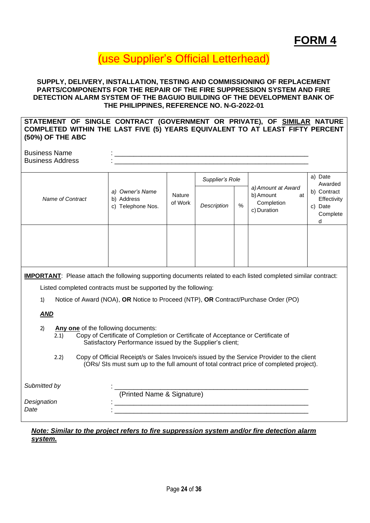### (use Supplier's Official Letterhead)

#### **SUPPLY, DELIVERY, INSTALLATION, TESTING AND COMMISSIONING OF REPLACEMENT PARTS/COMPONENTS FOR THE REPAIR OF THE FIRE SUPPRESSION SYSTEM AND FIRE DETECTION ALARM SYSTEM OF THE BAGUIO BUILDING OF THE DEVELOPMENT BANK OF THE PHILIPPINES, REFERENCE NO. N-G-2022-01**

### **STATEMENT OF SINGLE CONTRACT (GOVERNMENT OR PRIVATE), OF SIMILAR NATURE COMPLETED WITHIN THE LAST FIVE (5) YEARS EQUIVALENT TO AT LEAST FIFTY PERCENT (50%) OF THE ABC**

Business Name Business Address

|                  |                                                       |                   | Supplier's Role     |  |                                                                    | a) Date<br>Awarded                                        |
|------------------|-------------------------------------------------------|-------------------|---------------------|--|--------------------------------------------------------------------|-----------------------------------------------------------|
| Name of Contract | a) Owner's Name<br>b) Address<br>Telephone Nos.<br>C) | Nature<br>of Work | $\%$<br>Description |  | a) Amount at Award<br>b) Amount<br>at<br>Completion<br>c) Duration | b) Contract<br>Effectivity<br>Date<br>C)<br>Complete<br>d |
|                  |                                                       |                   |                     |  |                                                                    |                                                           |

**IMPORTANT**: Please attach the following supporting documents related to each listed completed similar contract:

Listed completed contracts must be supported by the following:

1) Notice of Award (NOA), **OR** Notice to Proceed (NTP), **OR** Contract/Purchase Order (PO)

### *AND*

- 2) **Any one** of the following documents:
	- 2.1) Copy of Certificate of Completion or Certificate of Acceptance or Certificate of Satisfactory Performance issued by the Supplier's client;
	- 2.2) Copy of Official Receipt/s or Sales Invoice/s issued by the Service Provider to the client (ORs/ SIs must sum up to the full amount of total contract price of completed project).

| Submitted by |                            |  |
|--------------|----------------------------|--|
|              | (Printed Name & Signature) |  |
| Designation  |                            |  |
| Date         |                            |  |
|              |                            |  |

### *Note: Similar to the project refers to fire suppression system and/or fire detection alarm system.*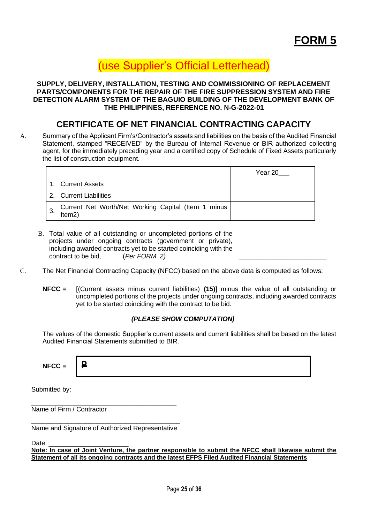### **FORM 5**

\_\_\_\_\_\_\_\_\_\_\_\_\_\_\_\_\_\_\_\_\_\_\_\_

### (use Supplier's Official Letterhead)

#### **SUPPLY, DELIVERY, INSTALLATION, TESTING AND COMMISSIONING OF REPLACEMENT PARTS/COMPONENTS FOR THE REPAIR OF THE FIRE SUPPRESSION SYSTEM AND FIRE DETECTION ALARM SYSTEM OF THE BAGUIO BUILDING OF THE DEVELOPMENT BANK OF THE PHILIPPINES, REFERENCE NO. N-G-2022-01**

### **CERTIFICATE OF NET FINANCIAL CONTRACTING CAPACITY**

A. Summary of the Applicant Firm's/Contractor's assets and liabilities on the basis of the Audited Financial Statement, stamped "RECEIVED" by the Bureau of Internal Revenue or BIR authorized collecting agent, for the immediately preceding year and a certified copy of Schedule of Fixed Assets particularly the list of construction equipment.

|   |                                                               | Year 20 |
|---|---------------------------------------------------------------|---------|
|   | 1. Current Assets                                             |         |
|   | 2. Current Liabilities                                        |         |
| 3 | Current Net Worth/Net Working Capital (Item 1 minus<br>Item2) |         |

- B. Total value of all outstanding or uncompleted portions of the projects under ongoing contracts (government or private), including awarded contracts yet to be started coinciding with the contract to be bid, (*Per FORM 2)*
- C. The Net Financial Contracting Capacity (NFCC) based on the above data is computed as follows:
	- **NFCC =** [(Current assets minus current liabilities) **(15)**] minus the value of all outstanding or uncompleted portions of the projects under ongoing contracts, including awarded contracts yet to be started coinciding with the contract to be bid.

#### *(PLEASE SHOW COMPUTATION)*

The values of the domestic Supplier's current assets and current liabilities shall be based on the latest Audited Financial Statements submitted to BIR.

| $NFCC =$<br>$\overline{\phantom{0}}$<br>$\mathbf -$ |
|-----------------------------------------------------|
|-----------------------------------------------------|

Submitted by:

Name of Firm / Contractor

\_\_\_\_\_\_\_\_\_\_\_\_\_\_\_\_\_\_\_\_\_\_\_\_\_\_\_\_\_\_\_\_\_\_\_\_\_\_\_\_\_ Name and Signature of Authorized Representative

\_\_\_\_\_\_\_\_\_\_\_\_\_\_\_\_\_\_\_\_\_\_\_\_\_\_\_\_\_\_\_\_\_\_\_\_\_\_\_\_

Date:

**Note: In case of Joint Venture, the partner responsible to submit the NFCC shall likewise submit the Statement of all its ongoing contracts and the latest EFPS Filed Audited Financial Statements**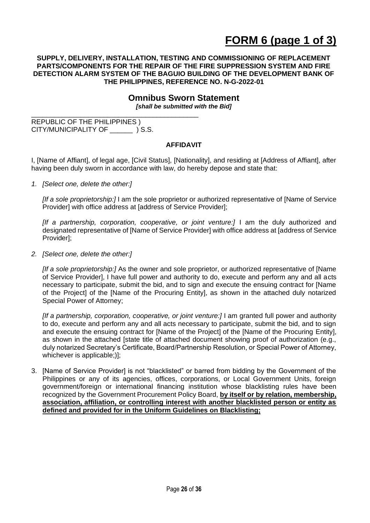#### **SUPPLY, DELIVERY, INSTALLATION, TESTING AND COMMISSIONING OF REPLACEMENT PARTS/COMPONENTS FOR THE REPAIR OF THE FIRE SUPPRESSION SYSTEM AND FIRE DETECTION ALARM SYSTEM OF THE BAGUIO BUILDING OF THE DEVELOPMENT BANK OF THE PHILIPPINES, REFERENCE NO. N-G-2022-01**

### **Omnibus Sworn Statement**

*[shall be submitted with the Bid]*

REPUBLIC OF THE PHILIPPINES ) CITY/MUNICIPALITY OF \_\_\_\_\_\_ ) S.S.

\_\_\_\_\_\_\_\_\_\_\_\_\_\_\_\_\_\_\_\_\_\_\_\_\_\_\_\_\_\_\_\_\_\_\_\_\_\_\_\_\_\_\_\_

#### **AFFIDAVIT**

I, [Name of Affiant], of legal age, [Civil Status], [Nationality], and residing at [Address of Affiant], after having been duly sworn in accordance with law, do hereby depose and state that:

*1. [Select one, delete the other:]*

*[If a sole proprietorship:]* I am the sole proprietor or authorized representative of [Name of Service Provider] with office address at [address of Service Provider];

*[If a partnership, corporation, cooperative, or joint venture:]* I am the duly authorized and designated representative of [Name of Service Provider] with office address at [address of Service Provider];

*2. [Select one, delete the other:]*

*[If a sole proprietorship:]* As the owner and sole proprietor, or authorized representative of [Name of Service Provider], I have full power and authority to do, execute and perform any and all acts necessary to participate, submit the bid, and to sign and execute the ensuing contract for [Name of the Project] of the [Name of the Procuring Entity], as shown in the attached duly notarized Special Power of Attorney;

*[If a partnership, corporation, cooperative, or joint venture:]* I am granted full power and authority to do, execute and perform any and all acts necessary to participate, submit the bid, and to sign and execute the ensuing contract for [Name of the Project] of the [Name of the Procuring Entity], as shown in the attached [state title of attached document showing proof of authorization (e.g., duly notarized Secretary's Certificate, Board/Partnership Resolution, or Special Power of Attorney, whichever is applicable;)];

3. [Name of Service Provider] is not "blacklisted" or barred from bidding by the Government of the Philippines or any of its agencies, offices, corporations, or Local Government Units, foreign government/foreign or international financing institution whose blacklisting rules have been recognized by the Government Procurement Policy Board, **by itself or by relation, membership, association, affiliation, or controlling interest with another blacklisted person or entity as defined and provided for in the Uniform Guidelines on Blacklisting;**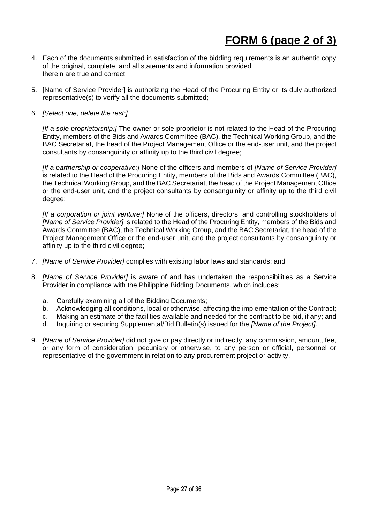- 4. Each of the documents submitted in satisfaction of the bidding requirements is an authentic copy of the original, complete, and all statements and information provided therein are true and correct;
- 5. [Name of Service Provider] is authorizing the Head of the Procuring Entity or its duly authorized representative(s) to verify all the documents submitted;
- *6. [Select one, delete the rest:]*

*[If a sole proprietorship:]* The owner or sole proprietor is not related to the Head of the Procuring Entity, members of the Bids and Awards Committee (BAC), the Technical Working Group, and the BAC Secretariat, the head of the Project Management Office or the end-user unit, and the project consultants by consanguinity or affinity up to the third civil degree;

*[If a partnership or cooperative:]* None of the officers and members of *[Name of Service Provider]*  is related to the Head of the Procuring Entity, members of the Bids and Awards Committee (BAC), the Technical Working Group, and the BAC Secretariat, the head of the Project Management Office or the end-user unit, and the project consultants by consanguinity or affinity up to the third civil degree;

*[If a corporation or joint venture:]* None of the officers, directors, and controlling stockholders of *[Name of Service Provider]* is related to the Head of the Procuring Entity, members of the Bids and Awards Committee (BAC), the Technical Working Group, and the BAC Secretariat, the head of the Project Management Office or the end-user unit, and the project consultants by consanguinity or affinity up to the third civil degree;

- 7. *[Name of Service Provider]* complies with existing labor laws and standards; and
- 8. *[Name of Service Provider]* is aware of and has undertaken the responsibilities as a Service Provider in compliance with the Philippine Bidding Documents, which includes:
	- a. Carefully examining all of the Bidding Documents;
	- b. Acknowledging all conditions, local or otherwise, affecting the implementation of the Contract;
	- c. Making an estimate of the facilities available and needed for the contract to be bid, if any; and
	- d. Inquiring or securing Supplemental/Bid Bulletin(s) issued for the *[Name of the Project]*.
- 9. *[Name of Service Provider]* did not give or pay directly or indirectly, any commission, amount, fee, or any form of consideration, pecuniary or otherwise, to any person or official, personnel or representative of the government in relation to any procurement project or activity.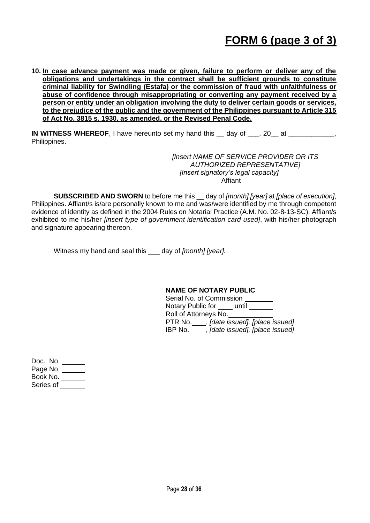### **FORM 6 (page 3 of 3)**

**10. In case advance payment was made or given, failure to perform or deliver any of the obligations and undertakings in the contract shall be sufficient grounds to constitute criminal liability for Swindling (Estafa) or the commission of fraud with unfaithfulness or abuse of confidence through misappropriating or converting any payment received by a person or entity under an obligation involving the duty to deliver certain goods or services, to the prejudice of the public and the government of the Philippines pursuant to Article 315 of Act No. 3815 s. 1930, as amended, or the Revised Penal Code.**

**IN WITNESS WHEREOF**, I have hereunto set my hand this day of . 20 at  $\cdot$ Philippines.

> *[Insert NAME OF SERVICE PROVIDER OR ITS AUTHORIZED REPRESENTATIVE] [Insert signatory's legal capacity]* Affiant

**SUBSCRIBED AND SWORN** to before me this \_\_ day of *[month] [year]* at *[place of execution]*, Philippines. Affiant/s is/are personally known to me and was/were identified by me through competent evidence of identity as defined in the 2004 Rules on Notarial Practice (A.M. No. 02-8-13-SC). Affiant/s exhibited to me his/her *[insert type of government identification card used]*, with his/her photograph and signature appearing thereon.

Witness my hand and seal this \_\_\_ day of *[month] [year].*

#### **NAME OF NOTARY PUBLIC**

Serial No. of Commission Notary Public for <u>equilibrities</u> Roll of Attorneys No. PTR No. , *[date issued], [place issued]*  IBP No. , *[date issued], [place issued]* 

Doc. No. Page No. Book No. Series of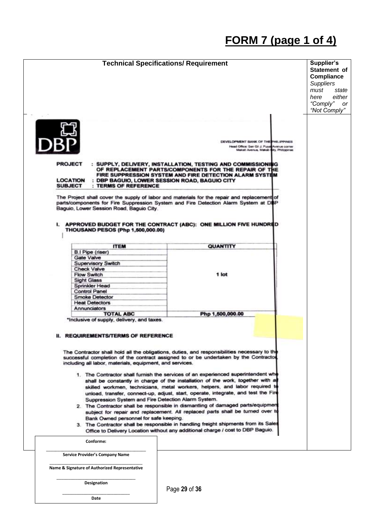# **FORM 7 (page 1 of 4)**

| <b>PROJECT</b><br>: SUPPLY, DELIVERY, INSTALLATION, TESTING AND COMMISSIONING<br>OF REPLACEMENT PARTS/COMPONENTS FOR THE REPAIR OF THE<br>FIRE SUPPRESSION SYSTEM AND FIRE DETECTION ALARM SYSTEM<br><b>LOCATION</b><br>: DBP BAGUIO, LOWER SESSION ROAD, BAGUIO CITY<br>: TERMS OF REFERENCE<br><b>SUBJECT</b><br>The Project shall cover the supply of labor and materials for the repair and replacement of<br>parts/components for Fire Suppression System and Fire Detection Alarm System at DBP<br>Baguio, Lower Session Road, Baguio City.<br>I. APPROVED BUDGET FOR THE CONTRACT (ABC): ONE MILLION FIVE HUNDRED<br><b>THOUSAND PESOS (Php 1,500,000.00)</b><br><b>ITEM</b><br>B.I Pipe (riser)<br>Gate Valve<br><b>Supervisory Switch</b><br><b>Check Valve</b><br><b>Flow Switch</b><br>Sight Glass<br>Sprinkler Head<br><b>Control Panel</b><br><b>Smoke Detector</b><br><b>Heat Detectors</b>                                                                                                                                                                                                                                            | DEVELOPMENT BANK OF THE PHILIPPINES<br>Head Office: Sen Gil J. Puya Avenue comer<br>Makati Avenue, Makati Bity, Philippines |  |
|------------------------------------------------------------------------------------------------------------------------------------------------------------------------------------------------------------------------------------------------------------------------------------------------------------------------------------------------------------------------------------------------------------------------------------------------------------------------------------------------------------------------------------------------------------------------------------------------------------------------------------------------------------------------------------------------------------------------------------------------------------------------------------------------------------------------------------------------------------------------------------------------------------------------------------------------------------------------------------------------------------------------------------------------------------------------------------------------------------------------------------------------------|-----------------------------------------------------------------------------------------------------------------------------|--|
|                                                                                                                                                                                                                                                                                                                                                                                                                                                                                                                                                                                                                                                                                                                                                                                                                                                                                                                                                                                                                                                                                                                                                      |                                                                                                                             |  |
|                                                                                                                                                                                                                                                                                                                                                                                                                                                                                                                                                                                                                                                                                                                                                                                                                                                                                                                                                                                                                                                                                                                                                      |                                                                                                                             |  |
|                                                                                                                                                                                                                                                                                                                                                                                                                                                                                                                                                                                                                                                                                                                                                                                                                                                                                                                                                                                                                                                                                                                                                      | QUANTITY                                                                                                                    |  |
|                                                                                                                                                                                                                                                                                                                                                                                                                                                                                                                                                                                                                                                                                                                                                                                                                                                                                                                                                                                                                                                                                                                                                      | 1 lot                                                                                                                       |  |
| Annunciators<br><b>TOTAL ABC</b>                                                                                                                                                                                                                                                                                                                                                                                                                                                                                                                                                                                                                                                                                                                                                                                                                                                                                                                                                                                                                                                                                                                     | Php 1,500,000.00                                                                                                            |  |
| *Inclusive of supply, delivery, and taxes.<br><b>II. REQUIREMENTS/TERMS OF REFERENCE</b><br>The Contractor shall hold all the obligations, duties, and responsibilities necessary to the<br>successful completion of the contract assigned to or be undertaken by the Contractor<br>including all labor, materials, equipment, and services.<br>1. The Contractor shall furnish the services of an experienced superintendent who<br>shall be constantly in charge of the installation of the work, together with a<br>skilled workmen, technicians, metal workers, helpers, and labor required to<br>unload, transfer, connect-up, adjust, start, operate, integrate, and test the Fire<br>Suppression System and Fire Detection Alarm System.<br>2. The Contractor shall be responsible in dismantling of damaged parts/equipmen<br>subject for repair and replacement. All replaced parts shall be tumed over to<br>Bank Owned personnel for safe keeping.<br>3. The Contractor shall be responsible in handling freight shipments from its Sales<br>Office to Delivery Location without any additional charge / cost to DBP Baguio.<br>Conforme: |                                                                                                                             |  |
|                                                                                                                                                                                                                                                                                                                                                                                                                                                                                                                                                                                                                                                                                                                                                                                                                                                                                                                                                                                                                                                                                                                                                      |                                                                                                                             |  |
| Service Provider's Company Name                                                                                                                                                                                                                                                                                                                                                                                                                                                                                                                                                                                                                                                                                                                                                                                                                                                                                                                                                                                                                                                                                                                      |                                                                                                                             |  |

\_\_\_\_\_\_\_\_\_\_\_\_\_\_\_\_\_\_\_\_\_\_\_\_\_\_\_\_\_\_\_\_\_\_ **Designation**

 $\_$ **Date**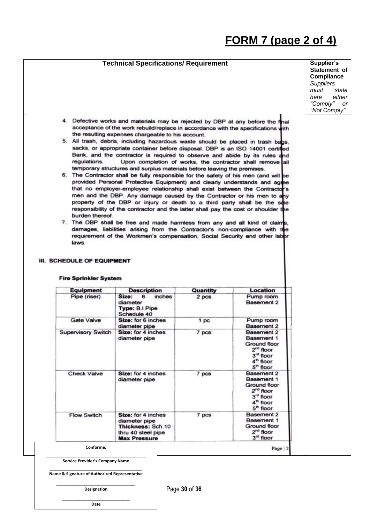# **FORM 7 (page 2 of 4)**

|                                                                        |                                                                                                                                                                                                                                                                                                                                                                                                                                                                                                                                                                                                                                                                                                                                                                                                                                                                                                                                                                                                                                                                                                                                                                                                                                                                                                    | <b>Technical Specifications/ Requirement</b> |                                                                                                                                       | Supplier's<br>Statement of<br><b>Compliance</b><br><b>Suppliers</b><br>must<br>state<br>either<br>here<br>"Comply"<br>or<br>"Not Comply" |
|------------------------------------------------------------------------|----------------------------------------------------------------------------------------------------------------------------------------------------------------------------------------------------------------------------------------------------------------------------------------------------------------------------------------------------------------------------------------------------------------------------------------------------------------------------------------------------------------------------------------------------------------------------------------------------------------------------------------------------------------------------------------------------------------------------------------------------------------------------------------------------------------------------------------------------------------------------------------------------------------------------------------------------------------------------------------------------------------------------------------------------------------------------------------------------------------------------------------------------------------------------------------------------------------------------------------------------------------------------------------------------|----------------------------------------------|---------------------------------------------------------------------------------------------------------------------------------------|------------------------------------------------------------------------------------------------------------------------------------------|
| regulations.<br>burden thereof.<br>laws.<br>III. SCHEDULE OF EQUIPMENT | 4. Defective works and materials may be rejected by DBP at any before the final<br>acceptance of the work rebuild/replace in accordance with the specifications with<br>the resulting expenses chargeable to his account.<br>5. All trash, debris, including hazardous waste should be placed in trash bags,<br>sacks, or appropriate container before disposal. DBP is an ISO 14001 certified<br>Bank, and the contractor is required to observe and abide by its rules and<br>temporary structures and surplus materials before leaving the premises.<br>6. The Contractor shall be fully responsible for the safety of his men (and will be<br>provided Personal Protective Equipment) and clearly understands and agree<br>that no employer-employee relationship shall exist between the Contractor's<br>men and the DBP. Any damage caused by the Contractor or his men to any<br>property of the DBP or injury or death to a third party shall be the sole<br>responsibility of the contractor and the latter shall pay the cost or shoulder the<br>7. The DBP shall be free and made harmless from any and all kind of claims,<br>damages, liabilities arising from the Contractor's non-compliance with the<br>requirement of the Workmen's compensation, Social Security and other labor |                                              | Upon completion of works, the contractor shall remove all                                                                             |                                                                                                                                          |
| <b>Fire Sprinkler System</b>                                           |                                                                                                                                                                                                                                                                                                                                                                                                                                                                                                                                                                                                                                                                                                                                                                                                                                                                                                                                                                                                                                                                                                                                                                                                                                                                                                    |                                              |                                                                                                                                       |                                                                                                                                          |
| <b>Equipment</b><br>Pipe (riser)                                       | <b>Description</b><br>Size:<br>6<br>inches                                                                                                                                                                                                                                                                                                                                                                                                                                                                                                                                                                                                                                                                                                                                                                                                                                                                                                                                                                                                                                                                                                                                                                                                                                                         | Quantity<br>2 pcs                            | Location<br>Pump room                                                                                                                 |                                                                                                                                          |
|                                                                        | diameter<br><b>Type: B.I Pipe</b>                                                                                                                                                                                                                                                                                                                                                                                                                                                                                                                                                                                                                                                                                                                                                                                                                                                                                                                                                                                                                                                                                                                                                                                                                                                                  |                                              | Basement 2                                                                                                                            |                                                                                                                                          |
|                                                                        |                                                                                                                                                                                                                                                                                                                                                                                                                                                                                                                                                                                                                                                                                                                                                                                                                                                                                                                                                                                                                                                                                                                                                                                                                                                                                                    |                                              |                                                                                                                                       |                                                                                                                                          |
| Gate Valve                                                             | Schedule 40<br>Size: for 6 inches<br>diameter pipe                                                                                                                                                                                                                                                                                                                                                                                                                                                                                                                                                                                                                                                                                                                                                                                                                                                                                                                                                                                                                                                                                                                                                                                                                                                 | 1 pc                                         | Pump room<br>Basement 2                                                                                                               |                                                                                                                                          |
| Supervisory Switch                                                     | Size: for 4 inches<br>diameter pipe                                                                                                                                                                                                                                                                                                                                                                                                                                                                                                                                                                                                                                                                                                                                                                                                                                                                                                                                                                                                                                                                                                                                                                                                                                                                | 7 pcs                                        | Basement 2<br>Basement 1<br>Ground floor<br>2 <sup>nd</sup> floor<br>$3nt$ floor<br>4 <sup>th</sup> floor                             |                                                                                                                                          |
| <b>Check Valve</b>                                                     | Size: for 4 inches<br>diameter pipe                                                                                                                                                                                                                                                                                                                                                                                                                                                                                                                                                                                                                                                                                                                                                                                                                                                                                                                                                                                                                                                                                                                                                                                                                                                                | 7 pcs                                        | $5th$ floor<br>Basement 2<br>Basement 1<br>Ground floor<br>$2nd$ floor<br>3 <sup>rd</sup> floor<br>4 <sup>m</sup> floor<br>$5m$ floor |                                                                                                                                          |
| <b>Flow Switch</b>                                                     | Size: for 4 inches<br>diameter pipe<br>Thickness: Sch.10<br>thru 40 steel pipe<br><b>Max Pressure</b>                                                                                                                                                                                                                                                                                                                                                                                                                                                                                                                                                                                                                                                                                                                                                                                                                                                                                                                                                                                                                                                                                                                                                                                              | 7 pcs                                        | Basement 2<br>Basement 1<br>Ground floor<br>$2nd$ floor<br>3 <sup>rd</sup> floor                                                      |                                                                                                                                          |
| Conforme:                                                              |                                                                                                                                                                                                                                                                                                                                                                                                                                                                                                                                                                                                                                                                                                                                                                                                                                                                                                                                                                                                                                                                                                                                                                                                                                                                                                    |                                              | Page 2                                                                                                                                |                                                                                                                                          |
| Service Provider's Company Name                                        |                                                                                                                                                                                                                                                                                                                                                                                                                                                                                                                                                                                                                                                                                                                                                                                                                                                                                                                                                                                                                                                                                                                                                                                                                                                                                                    |                                              |                                                                                                                                       |                                                                                                                                          |

**Date**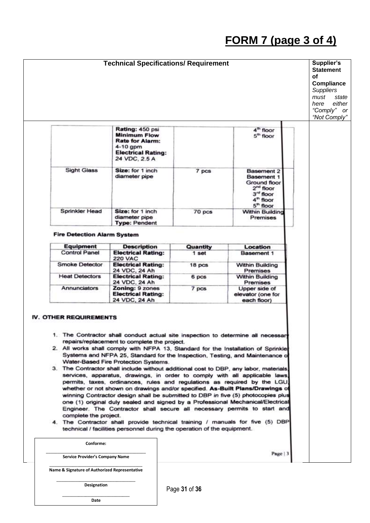## **FORM 7 (page 3 of 4)**



**Designation**

Page **31** of **36**

\_\_\_\_\_\_\_\_\_\_\_\_\_\_\_\_\_\_\_\_\_\_\_\_\_\_\_\_\_ **Date**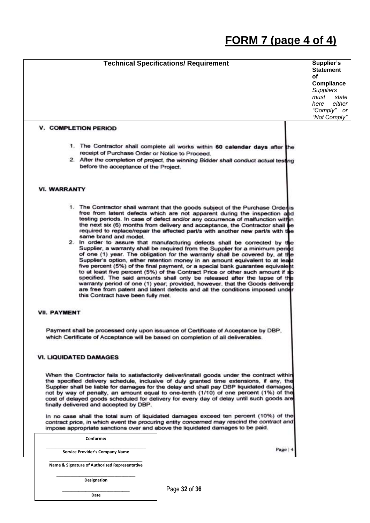## **FORM 7 (page 4 of 4)**



Page **32** of **36**

\_\_\_\_\_\_\_\_\_\_\_\_\_\_\_\_\_\_\_\_\_\_\_\_\_\_\_\_\_ **Date**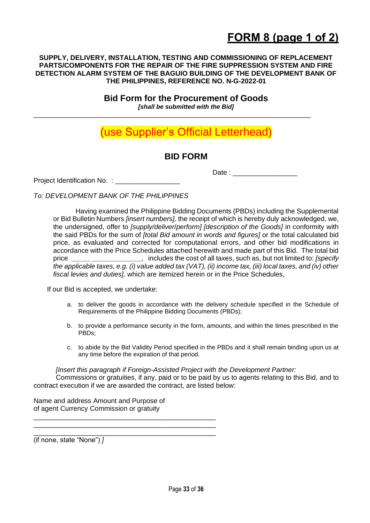#### **SUPPLY, DELIVERY, INSTALLATION, TESTING AND COMMISSIONING OF REPLACEMENT PARTS/COMPONENTS FOR THE REPAIR OF THE FIRE SUPPRESSION SYSTEM AND FIRE DETECTION ALARM SYSTEM OF THE BAGUIO BUILDING OF THE DEVELOPMENT BANK OF THE PHILIPPINES, REFERENCE NO. N-G-2022-01**

**Bid Form for the Procurement of Goods** *[shall be submitted with the Bid]*

\_\_\_\_\_\_\_\_\_\_\_\_\_\_\_\_\_\_\_\_\_\_\_\_\_\_\_\_\_\_\_\_\_\_\_\_\_\_\_\_\_\_\_\_\_\_\_\_\_\_\_\_\_\_\_\_\_\_\_\_\_\_\_\_\_\_\_\_\_\_\_\_\_

### (use Supplier's Official Letterhead)

### **BID FORM**

Project Identification No. : \_\_\_\_\_\_\_\_\_\_

Date : \_\_\_\_\_\_\_\_\_\_\_\_\_\_\_\_\_

*To: DEVELOPMENT BANK OF THE PHILIPPINES* 

Having examined the Philippine Bidding Documents (PBDs) including the Supplemental or Bid Bulletin Numbers *[insert numbers],* the receipt of which is hereby duly acknowledged, we, the undersigned, offer to *[supply/deliver*/*perform] [description of the Goods]* in conformity with the said PBDs for the sum of *[total Bid amount in words and figures]* or the total calculated bid price, as evaluated and corrected for computational errors, and other bid modifications in accordance with the Price Schedules attached herewith and made part of this Bid. The total bid price **\_\_\_\_\_ \_\_\_\_\_\_\_\_\_\_\_\_\_**, includes the cost of all taxes, such as, but not limited to: *[specify the applicable taxes, e.g. (i) value added tax (VAT), (ii) income tax, (iii) local taxes, and (iv) other fiscal levies and duties],* which are itemized herein or in the Price Schedules,

If our Bid is accepted, we undertake:

- a. to deliver the goods in accordance with the delivery schedule specified in the Schedule of Requirements of the Philippine Bidding Documents (PBDs);
- b. to provide a performance security in the form, amounts, and within the times prescribed in the PBDs;
- c. to abide by the Bid Validity Period specified in the PBDs and it shall remain binding upon us at any time before the expiration of that period.

*[Insert this paragraph if Foreign-Assisted Project with the Development Partner:*

Commissions or gratuities, if any, paid or to be paid by us to agents relating to this Bid, and to contract execution if we are awarded the contract, are listed below:

Name and address Amount and Purpose of of agent Currency Commission or gratuity

\_\_\_\_\_\_\_\_\_\_\_\_\_\_\_\_\_\_\_\_\_\_\_\_\_\_\_\_\_\_\_\_\_\_\_\_\_\_\_\_\_\_\_\_\_\_\_\_ \_\_\_\_\_\_\_\_\_\_\_\_\_\_\_\_\_\_\_\_\_\_\_\_\_\_\_\_\_\_\_\_\_\_\_\_\_\_\_\_\_\_\_\_\_\_\_\_ \_\_\_\_\_\_\_\_\_\_\_\_\_\_\_\_\_\_\_\_\_\_\_\_\_\_\_\_\_\_\_\_\_\_\_\_\_\_\_\_\_\_\_\_\_\_\_\_

(if none, state "None") *]*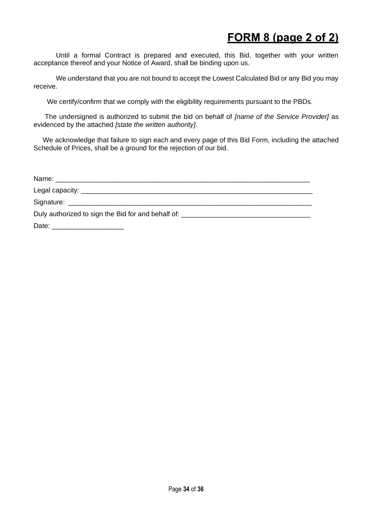### **FORM 8 (page 2 of 2)**

Until a formal Contract is prepared and executed, this Bid, together with your written acceptance thereof and your Notice of Award, shall be binding upon us.

We understand that you are not bound to accept the Lowest Calculated Bid or any Bid you may receive.

We certify/confirm that we comply with the eligibility requirements pursuant to the PBDs.

 The undersigned is authorized to submit the bid on behalf of *[name of the Service Provider]* as evidenced by the attached *[state the written authority]*.

 We acknowledge that failure to sign each and every page of this Bid Form, including the attached Schedule of Prices, shall be a ground for the rejection of our bid.

| Duly authorized to sign the Bid for and behalf of: _____________________________ |  |
|----------------------------------------------------------------------------------|--|
|                                                                                  |  |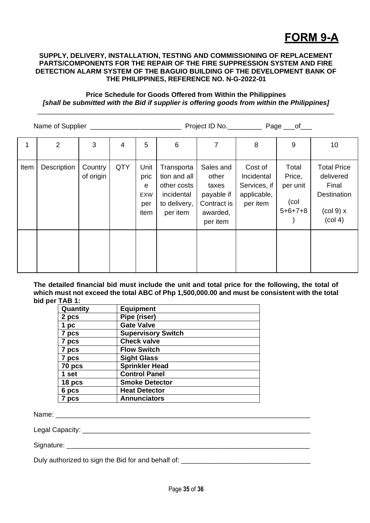## **FORM 9-A**

#### **SUPPLY, DELIVERY, INSTALLATION, TESTING AND COMMISSIONING OF REPLACEMENT PARTS/COMPONENTS FOR THE REPAIR OF THE FIRE SUPPRESSION SYSTEM AND FIRE DETECTION ALARM SYSTEM OF THE BAGUIO BUILDING OF THE DEVELOPMENT BANK OF THE PHILIPPINES, REFERENCE NO. N-G-2022-01**

#### **Price Schedule for Goods Offered from Within the Philippines** *[shall be submitted with the Bid if supplier is offering goods from within the Philippines]* \_\_\_\_\_\_\_\_\_\_\_\_\_\_\_\_\_\_\_\_\_\_\_\_\_\_\_\_\_\_\_\_\_\_\_\_\_\_\_\_\_\_\_\_\_\_\_\_\_\_\_\_\_\_\_\_\_\_\_\_\_\_\_\_\_\_\_\_\_\_\_\_\_\_\_\_\_\_

|      |             |                      | Project ID No. Page ___ of |                                                          |                                                                                     |                                                                                  |                                                                  |                                                  |                                                                                                             |
|------|-------------|----------------------|----------------------------|----------------------------------------------------------|-------------------------------------------------------------------------------------|----------------------------------------------------------------------------------|------------------------------------------------------------------|--------------------------------------------------|-------------------------------------------------------------------------------------------------------------|
|      | 2           | 3                    | 4                          | 5                                                        | 6                                                                                   | $\overline{7}$                                                                   | 8                                                                | 9                                                | 10                                                                                                          |
| Item | Description | Country<br>of origin | <b>QTY</b>                 | Unit<br>pric<br>$\mathbf e$<br><b>EXW</b><br>per<br>item | Transporta<br>tion and all<br>other costs<br>incidental<br>to delivery,<br>per item | Sales and<br>other<br>taxes<br>payable if<br>Contract is<br>awarded,<br>per item | Cost of<br>Incidental<br>Services, if<br>applicable,<br>per item | Total<br>Price,<br>per unit<br>(col<br>$5+6+7+8$ | <b>Total Price</b><br>delivered<br>Final<br><b>Destination</b><br>$\left(\text{col } 9\right)$ x<br>(col 4) |
|      |             |                      |                            |                                                          |                                                                                     |                                                                                  |                                                                  |                                                  |                                                                                                             |

**The detailed financial bid must include the unit and total price for the following, the total of which must not exceed the total ABC of Php 1,500,000.00 and must be consistent with the total bid per TAB 1:**

| <b>Equipment</b>          |  |  |  |
|---------------------------|--|--|--|
| Pipe (riser)              |  |  |  |
| <b>Gate Valve</b>         |  |  |  |
| <b>Supervisory Switch</b> |  |  |  |
| <b>Check valve</b>        |  |  |  |
| <b>Flow Switch</b>        |  |  |  |
| <b>Sight Glass</b>        |  |  |  |
| <b>Sprinkler Head</b>     |  |  |  |
| <b>Control Panel</b>      |  |  |  |
| <b>Smoke Detector</b>     |  |  |  |
| <b>Heat Detector</b>      |  |  |  |
| <b>Annunciators</b>       |  |  |  |
|                           |  |  |  |

Name:

Legal Capacity: \_\_\_\_\_\_\_\_\_\_\_\_\_\_\_\_\_\_\_\_\_\_\_\_\_\_\_\_\_\_\_\_\_\_\_\_\_\_\_\_\_\_\_\_\_\_\_\_\_\_\_\_\_\_\_\_\_\_\_\_

Signature:

Duly authorized to sign the Bid for and behalf of: